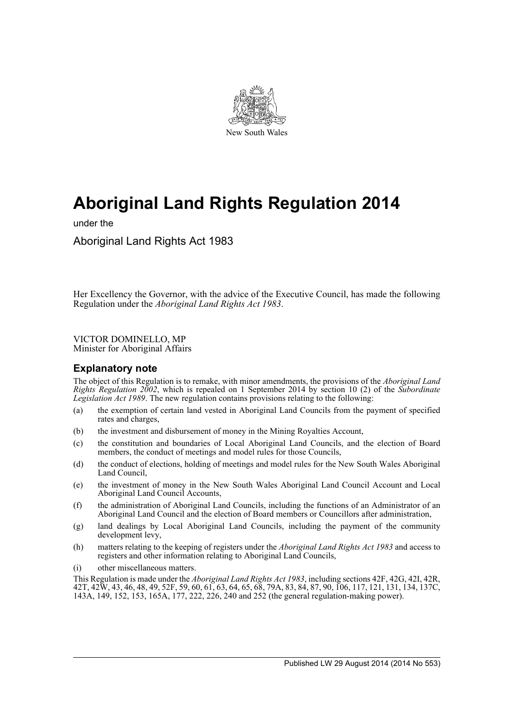

# **Aboriginal Land Rights Regulation 2014**

under the

Aboriginal Land Rights Act 1983

Her Excellency the Governor, with the advice of the Executive Council, has made the following Regulation under the *Aboriginal Land Rights Act 1983*.

VICTOR DOMINELLO, MP Minister for Aboriginal Affairs

# **Explanatory note**

The object of this Regulation is to remake, with minor amendments, the provisions of the *Aboriginal Land Rights Regulation 2002*, which is repealed on 1 September 2014 by section 10 (2) of the *Subordinate Legislation Act 1989*. The new regulation contains provisions relating to the following:

- (a) the exemption of certain land vested in Aboriginal Land Councils from the payment of specified rates and charges,
- (b) the investment and disbursement of money in the Mining Royalties Account,
- (c) the constitution and boundaries of Local Aboriginal Land Councils, and the election of Board members, the conduct of meetings and model rules for those Councils,
- (d) the conduct of elections, holding of meetings and model rules for the New South Wales Aboriginal Land Council,
- (e) the investment of money in the New South Wales Aboriginal Land Council Account and Local Aboriginal Land Council Accounts,
- (f) the administration of Aboriginal Land Councils, including the functions of an Administrator of an Aboriginal Land Council and the election of Board members or Councillors after administration,
- (g) land dealings by Local Aboriginal Land Councils, including the payment of the community development levy,
- (h) matters relating to the keeping of registers under the *Aboriginal Land Rights Act 1983* and access to registers and other information relating to Aboriginal Land Councils,
- (i) other miscellaneous matters.

This Regulation is made under the *Aboriginal Land Rights Act 1983*, including sections 42F, 42G, 42I, 42R, 42T, 42W, 43, 46, 48, 49, 52F, 59, 60, 61, 63, 64, 65, 68, 79A, 83, 84, 87, 90, 106, 117, 121, 131, 134, 137C, 143A, 149, 152, 153, 165A, 177, 222, 226, 240 and 252 (the general regulation-making power).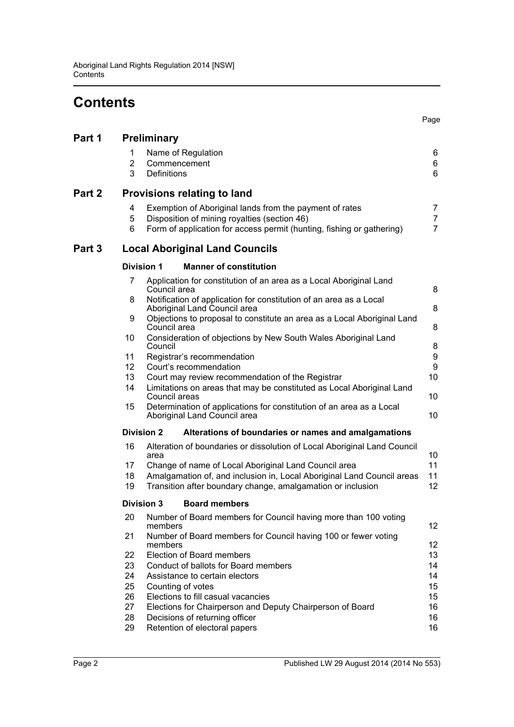# **Contents**

|        |                          |                                                                                                                                                                                  | Page                                  |
|--------|--------------------------|----------------------------------------------------------------------------------------------------------------------------------------------------------------------------------|---------------------------------------|
| Part 1 |                          | Preliminary                                                                                                                                                                      |                                       |
|        | 1<br>$\overline{2}$<br>3 | Name of Regulation<br>Commencement<br><b>Definitions</b>                                                                                                                         | 6<br>6<br>6                           |
| Part 2 |                          | <b>Provisions relating to land</b>                                                                                                                                               |                                       |
|        | 4<br>5<br>6              | Exemption of Aboriginal lands from the payment of rates<br>Disposition of mining royalties (section 46)<br>Form of application for access permit (hunting, fishing or gathering) | 7<br>$\overline{7}$<br>$\overline{7}$ |
| Part 3 |                          | <b>Local Aboriginal Land Councils</b>                                                                                                                                            |                                       |
|        | <b>Division 1</b>        | <b>Manner of constitution</b>                                                                                                                                                    |                                       |
|        | 7                        | Application for constitution of an area as a Local Aboriginal Land<br>Council area                                                                                               | 8                                     |
|        | 8                        | Notification of application for constitution of an area as a Local<br>Aboriginal Land Council area                                                                               | 8                                     |
|        | 9                        | Objections to proposal to constitute an area as a Local Aboriginal Land<br>Council area                                                                                          | 8                                     |
|        | 10                       | Consideration of objections by New South Wales Aboriginal Land<br>Council                                                                                                        | 8                                     |
|        | 11                       | Registrar's recommendation                                                                                                                                                       | $\boldsymbol{9}$                      |
|        | 12 <sup>2</sup>          | Court's recommendation                                                                                                                                                           | 9                                     |
|        | 13                       | Court may review recommendation of the Registrar                                                                                                                                 | 10                                    |
|        | 14                       | Limitations on areas that may be constituted as Local Aboriginal Land<br>Council areas                                                                                           | 10                                    |
|        | 15                       | Determination of applications for constitution of an area as a Local<br>Aboriginal Land Council area                                                                             | 10                                    |
|        | <b>Division 2</b>        | Alterations of boundaries or names and amalgamations                                                                                                                             |                                       |
|        | 16                       | Alteration of boundaries or dissolution of Local Aboriginal Land Council<br>area                                                                                                 | 10                                    |
|        | 17                       | Change of name of Local Aboriginal Land Council area                                                                                                                             | 11                                    |
|        | 18<br>19                 | Amalgamation of, and inclusion in, Local Aboriginal Land Council areas<br>Transition after boundary change, amalgamation or inclusion                                            | 11<br>12                              |
|        | <b>Division 3</b>        | <b>Board members</b>                                                                                                                                                             |                                       |
|        | 20                       | Number of Board members for Council having more than 100 voting<br>members                                                                                                       | 12                                    |
|        | 21                       | Number of Board members for Council having 100 or fewer voting<br>members                                                                                                        | 12 <sub>2</sub>                       |
|        | 22                       | Election of Board members                                                                                                                                                        | 13                                    |
|        | 23                       | Conduct of ballots for Board members                                                                                                                                             | 14                                    |
|        | 24                       | Assistance to certain electors                                                                                                                                                   | 14                                    |
|        | 25                       | Counting of votes                                                                                                                                                                | 15                                    |
|        | 26                       | Elections to fill casual vacancies                                                                                                                                               | 15                                    |
|        | 27                       | Elections for Chairperson and Deputy Chairperson of Board                                                                                                                        | 16                                    |
|        | 28                       | Decisions of returning officer                                                                                                                                                   | 16                                    |

[29 Retention of electoral papers 16](#page-15-2) and 16 and 16 and 16 and 16 and 16 and 16 and 16 and 16 and 16 and 16 and 16 and 16 and 16 and 16 and 16 and 16 and 16 and 16 and 16 and 16 and 16 and 16 and 16 and 16 and 16 and 16 and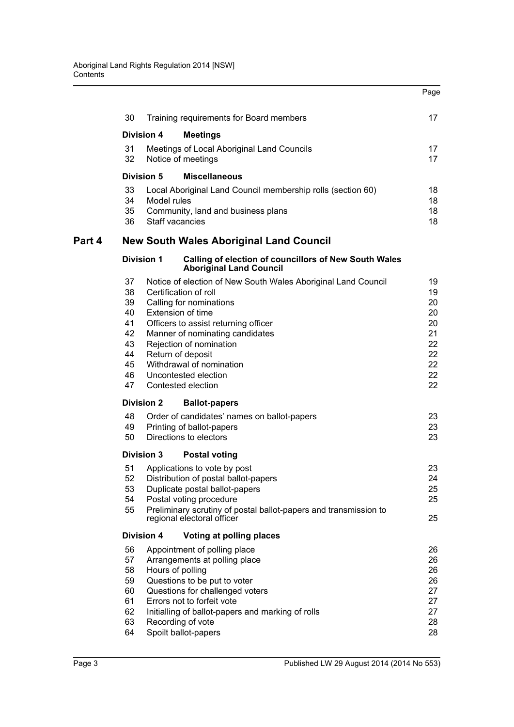|        |                                                                                                                                                                                                                                                                   |                                       |                                                                                                                                                                                                                                                                                                                                             | Page                                                           |
|--------|-------------------------------------------------------------------------------------------------------------------------------------------------------------------------------------------------------------------------------------------------------------------|---------------------------------------|---------------------------------------------------------------------------------------------------------------------------------------------------------------------------------------------------------------------------------------------------------------------------------------------------------------------------------------------|----------------------------------------------------------------|
|        | 30                                                                                                                                                                                                                                                                |                                       | Training requirements for Board members                                                                                                                                                                                                                                                                                                     | 17                                                             |
|        |                                                                                                                                                                                                                                                                   | <b>Division 4</b>                     | <b>Meetings</b>                                                                                                                                                                                                                                                                                                                             |                                                                |
|        | 31<br>32                                                                                                                                                                                                                                                          |                                       | Meetings of Local Aboriginal Land Councils<br>Notice of meetings                                                                                                                                                                                                                                                                            | 17<br>17                                                       |
|        |                                                                                                                                                                                                                                                                   | <b>Division 5</b>                     | <b>Miscellaneous</b>                                                                                                                                                                                                                                                                                                                        |                                                                |
|        | 33<br>34<br>35<br>36                                                                                                                                                                                                                                              | Model rules<br><b>Staff vacancies</b> | Local Aboriginal Land Council membership rolls (section 60)<br>Community, land and business plans                                                                                                                                                                                                                                           | 18<br>18<br>18<br>18                                           |
| Part 4 |                                                                                                                                                                                                                                                                   |                                       | <b>New South Wales Aboriginal Land Council</b>                                                                                                                                                                                                                                                                                              |                                                                |
|        |                                                                                                                                                                                                                                                                   | <b>Division 1</b>                     | <b>Calling of election of councillors of New South Wales</b><br><b>Aboriginal Land Council</b>                                                                                                                                                                                                                                              |                                                                |
|        | 37<br>38<br>39<br>40<br>41<br>42<br>43<br>44<br>45<br>46<br>47                                                                                                                                                                                                    |                                       | Notice of election of New South Wales Aboriginal Land Council<br>Certification of roll<br>Calling for nominations<br>Extension of time<br>Officers to assist returning officer<br>Manner of nominating candidates<br>Rejection of nomination<br>Return of deposit<br>Withdrawal of nomination<br>Uncontested election<br>Contested election | 19<br>19<br>20<br>20<br>20<br>21<br>22<br>22<br>22<br>22<br>22 |
|        |                                                                                                                                                                                                                                                                   | <b>Division 2</b>                     | <b>Ballot-papers</b>                                                                                                                                                                                                                                                                                                                        |                                                                |
|        | 48<br>49<br>50                                                                                                                                                                                                                                                    |                                       | Order of candidates' names on ballot-papers<br>Printing of ballot-papers<br>Directions to electors                                                                                                                                                                                                                                          | 23<br>23<br>23                                                 |
|        |                                                                                                                                                                                                                                                                   | <b>Division 3</b>                     | <b>Postal voting</b>                                                                                                                                                                                                                                                                                                                        |                                                                |
|        | 51<br>Applications to vote by post<br>52<br>Distribution of postal ballot-papers<br>53<br>Duplicate postal ballot-papers<br>54<br>Postal voting procedure<br>55<br>Preliminary scrutiny of postal ballot-papers and transmission to<br>regional electoral officer |                                       | 23<br>24<br>25<br>25<br>25                                                                                                                                                                                                                                                                                                                  |                                                                |
|        |                                                                                                                                                                                                                                                                   | <b>Division 4</b>                     | Voting at polling places                                                                                                                                                                                                                                                                                                                    |                                                                |
|        | 56<br>57<br>58<br>59<br>60<br>61<br>62<br>63<br>64                                                                                                                                                                                                                | Hours of polling                      | Appointment of polling place<br>Arrangements at polling place<br>Questions to be put to voter<br>Questions for challenged voters<br>Errors not to forfeit vote<br>Initialling of ballot-papers and marking of rolls<br>Recording of vote<br>Spoilt ballot-papers                                                                            | 26<br>26<br>26<br>26<br>27<br>27<br>27<br>28<br>28             |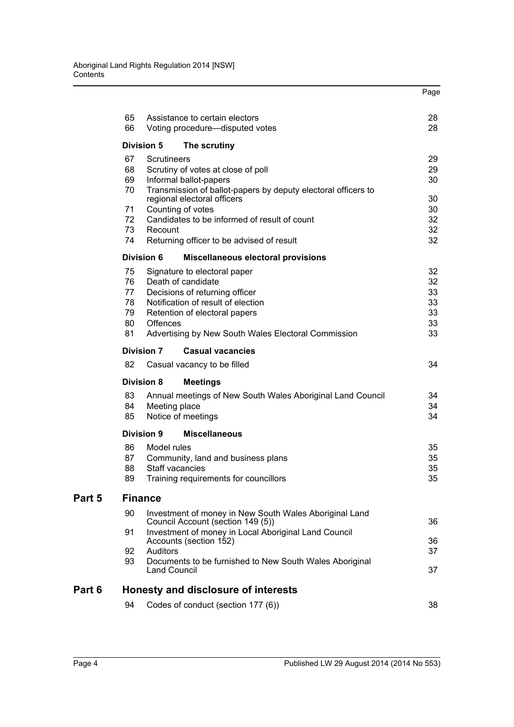|        |          |                                                                                                                        | Page     |  |
|--------|----------|------------------------------------------------------------------------------------------------------------------------|----------|--|
|        | 65<br>66 | Assistance to certain electors                                                                                         | 28<br>28 |  |
|        |          | Voting procedure-disputed votes                                                                                        |          |  |
|        |          | <b>Division 5</b><br>The scrutiny                                                                                      |          |  |
|        | 67       | Scrutineers                                                                                                            | 29<br>29 |  |
|        | 68       | Scrutiny of votes at close of poll                                                                                     |          |  |
|        | 69<br>70 | Informal ballot-papers<br>Transmission of ballot-papers by deputy electoral officers to<br>regional electoral officers |          |  |
|        | 71       | Counting of votes                                                                                                      | 30<br>30 |  |
|        | 72       | Candidates to be informed of result of count                                                                           | 32       |  |
|        | 73       | Recount                                                                                                                | 32       |  |
|        | 74       | Returning officer to be advised of result                                                                              | 32       |  |
|        |          | <b>Division 6</b><br><b>Miscellaneous electoral provisions</b>                                                         |          |  |
|        | 75       | Signature to electoral paper                                                                                           | 32       |  |
|        | 76       | Death of candidate                                                                                                     | 32       |  |
|        | 77       | Decisions of returning officer                                                                                         | 33       |  |
|        | 78<br>79 | Notification of result of election<br>Retention of electoral papers                                                    | 33<br>33 |  |
|        | 80       | <b>Offences</b>                                                                                                        | 33       |  |
|        | 81       | Advertising by New South Wales Electoral Commission                                                                    | 33       |  |
|        |          | <b>Division 7</b><br><b>Casual vacancies</b>                                                                           |          |  |
|        | 82       | Casual vacancy to be filled                                                                                            | 34       |  |
|        |          | <b>Division 8</b><br><b>Meetings</b>                                                                                   |          |  |
|        | 83       | Annual meetings of New South Wales Aboriginal Land Council                                                             | 34       |  |
|        | 84       | Meeting place                                                                                                          | 34       |  |
|        | 85       | Notice of meetings                                                                                                     | 34       |  |
|        |          | <b>Division 9</b><br><b>Miscellaneous</b>                                                                              |          |  |
|        | 86       | Model rules                                                                                                            | 35       |  |
|        | 87       | Community, land and business plans                                                                                     | 35       |  |
|        | 88       | Staff vacancies                                                                                                        | 35       |  |
|        | 89       | Training requirements for councillors                                                                                  | 35       |  |
| Part 5 |          | <b>Finance</b>                                                                                                         |          |  |
|        | 90       | Investment of money in New South Wales Aboriginal Land<br>Council Account (section 149 (5))                            | 36       |  |
|        | 91       | Investment of money in Local Aboriginal Land Council<br>Accounts (section 152)                                         | 36       |  |
|        | 92       | Auditors                                                                                                               | 37       |  |
|        | 93       | Documents to be furnished to New South Wales Aboriginal<br><b>Land Council</b>                                         | 37       |  |
| Part 6 |          | Honesty and disclosure of interests                                                                                    |          |  |
|        | 94       | Codes of conduct (section 177 (6))                                                                                     | 38       |  |
|        |          |                                                                                                                        |          |  |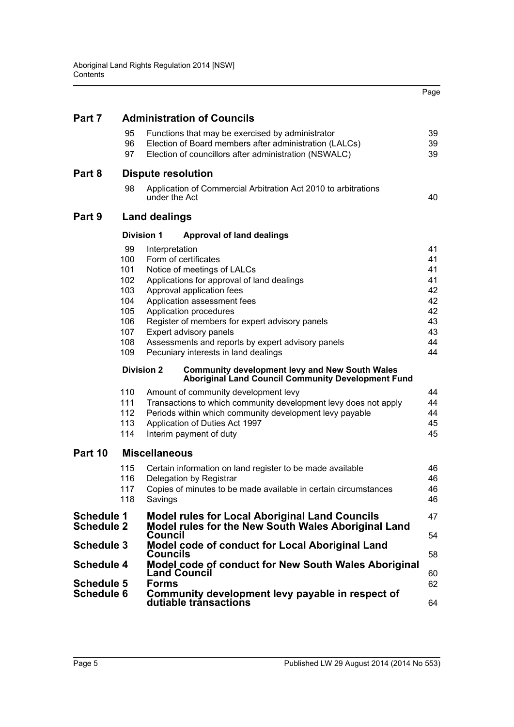|                                        |                                                                                                                                         |                                                                                                                                                                                                                                                                                                                                                                                    | Page                                                           |  |  |
|----------------------------------------|-----------------------------------------------------------------------------------------------------------------------------------------|------------------------------------------------------------------------------------------------------------------------------------------------------------------------------------------------------------------------------------------------------------------------------------------------------------------------------------------------------------------------------------|----------------------------------------------------------------|--|--|
| Part 7                                 |                                                                                                                                         | <b>Administration of Councils</b>                                                                                                                                                                                                                                                                                                                                                  |                                                                |  |  |
|                                        | 95<br>96<br>97                                                                                                                          | Functions that may be exercised by administrator<br>Election of Board members after administration (LALCs)<br>Election of councillors after administration (NSWALC)                                                                                                                                                                                                                | 39<br>39<br>39                                                 |  |  |
| Part 8                                 |                                                                                                                                         | <b>Dispute resolution</b>                                                                                                                                                                                                                                                                                                                                                          |                                                                |  |  |
|                                        | 98                                                                                                                                      | Application of Commercial Arbitration Act 2010 to arbitrations<br>under the Act                                                                                                                                                                                                                                                                                                    | 40                                                             |  |  |
| Part 9                                 |                                                                                                                                         | <b>Land dealings</b>                                                                                                                                                                                                                                                                                                                                                               |                                                                |  |  |
|                                        |                                                                                                                                         | <b>Division 1</b><br><b>Approval of land dealings</b>                                                                                                                                                                                                                                                                                                                              |                                                                |  |  |
|                                        | 99<br>100<br>101<br>102<br>103<br>104<br>105<br>106<br>107<br>108<br>109                                                                | Interpretation<br>Form of certificates<br>Notice of meetings of LALCs<br>Applications for approval of land dealings<br>Approval application fees<br>Application assessment fees<br>Application procedures<br>Register of members for expert advisory panels<br>Expert advisory panels<br>Assessments and reports by expert advisory panels<br>Pecuniary interests in land dealings | 41<br>41<br>41<br>41<br>42<br>42<br>42<br>43<br>43<br>44<br>44 |  |  |
|                                        | <b>Division 2</b><br><b>Community development levy and New South Wales</b><br><b>Aboriginal Land Council Community Development Fund</b> |                                                                                                                                                                                                                                                                                                                                                                                    |                                                                |  |  |
|                                        | 110<br>111<br>112<br>113<br>114                                                                                                         | Amount of community development levy<br>Transactions to which community development levy does not apply<br>Periods within which community development levy payable<br>Application of Duties Act 1997<br>Interim payment of duty                                                                                                                                                    | 44<br>44<br>44<br>45<br>45                                     |  |  |
| Part 10                                |                                                                                                                                         | <b>Miscellaneous</b>                                                                                                                                                                                                                                                                                                                                                               |                                                                |  |  |
|                                        | 115<br>116<br>117<br>118                                                                                                                | Certain information on land register to be made available<br>Delegation by Registrar<br>Copies of minutes to be made available in certain circumstances<br>Savings                                                                                                                                                                                                                 | 46<br>46<br>46<br>46                                           |  |  |
| <b>Schedule 1</b><br><b>Schedule 2</b> |                                                                                                                                         | <b>Model rules for Local Aboriginal Land Councils</b><br>Model rules for the New South Wales Aboriginal Land                                                                                                                                                                                                                                                                       | 47                                                             |  |  |
| <b>Schedule 3</b>                      |                                                                                                                                         | Council<br>Model code of conduct for Local Aboriginal Land                                                                                                                                                                                                                                                                                                                         | 54                                                             |  |  |
| <b>Schedule 4</b>                      |                                                                                                                                         | Councils<br>Model code of conduct for New South Wales Aboriginal                                                                                                                                                                                                                                                                                                                   | 58                                                             |  |  |
|                                        |                                                                                                                                         | <b>Land Council</b><br><b>Forms</b>                                                                                                                                                                                                                                                                                                                                                | 60<br>62                                                       |  |  |
| <b>Schedule 5</b><br><b>Schedule 6</b> |                                                                                                                                         | Community development levy payable in respect of<br>dutiable tránsactions                                                                                                                                                                                                                                                                                                          | 64                                                             |  |  |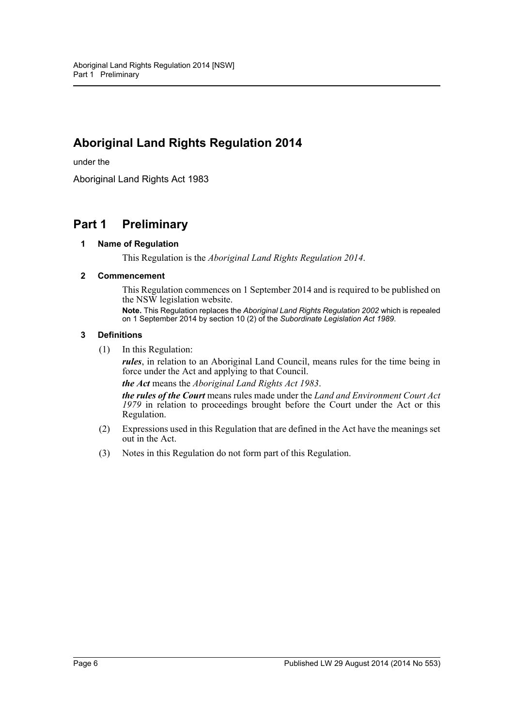# **Aboriginal Land Rights Regulation 2014**

under the

Aboriginal Land Rights Act 1983

# <span id="page-5-1"></span><span id="page-5-0"></span>**Part 1 Preliminary**

#### **1 Name of Regulation**

This Regulation is the *Aboriginal Land Rights Regulation 2014*.

#### <span id="page-5-2"></span>**2 Commencement**

This Regulation commences on 1 September 2014 and is required to be published on the NSW legislation website.

**Note.** This Regulation replaces the *Aboriginal Land Rights Regulation 2002* which is repealed on 1 September 2014 by section 10 (2) of the *Subordinate Legislation Act 1989*.

#### <span id="page-5-3"></span>**3 Definitions**

(1) In this Regulation:

*rules*, in relation to an Aboriginal Land Council, means rules for the time being in force under the Act and applying to that Council.

*the Act* means the *Aboriginal Land Rights Act 1983*.

*the rules of the Court* means rules made under the *Land and Environment Court Act 1979* in relation to proceedings brought before the Court under the Act or this Regulation.

- (2) Expressions used in this Regulation that are defined in the Act have the meanings set out in the Act.
- (3) Notes in this Regulation do not form part of this Regulation.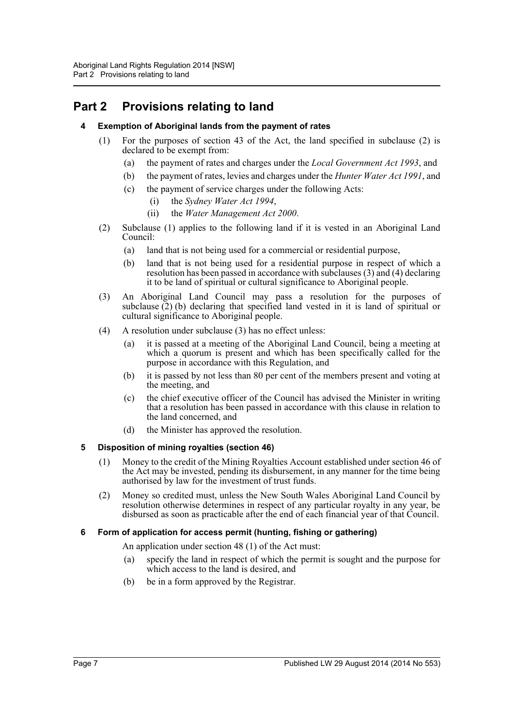# <span id="page-6-1"></span><span id="page-6-0"></span>**Part 2 Provisions relating to land**

# **4 Exemption of Aboriginal lands from the payment of rates**

- (1) For the purposes of section 43 of the Act, the land specified in subclause (2) is declared to be exempt from:
	- (a) the payment of rates and charges under the *Local Government Act 1993*, and
	- (b) the payment of rates, levies and charges under the *Hunter Water Act 1991*, and
	- (c) the payment of service charges under the following Acts:
		- (i) the *Sydney Water Act 1994*,
		- (ii) the *Water Management Act 2000*.
- (2) Subclause (1) applies to the following land if it is vested in an Aboriginal Land Council:
	- (a) land that is not being used for a commercial or residential purpose,
	- (b) land that is not being used for a residential purpose in respect of which a resolution has been passed in accordance with subclauses (3) and (4) declaring it to be land of spiritual or cultural significance to Aboriginal people.
- (3) An Aboriginal Land Council may pass a resolution for the purposes of subclause  $(2)$  (b) declaring that specified land vested in it is land of spiritual or cultural significance to Aboriginal people.
- (4) A resolution under subclause (3) has no effect unless:
	- (a) it is passed at a meeting of the Aboriginal Land Council, being a meeting at which a quorum is present and which has been specifically called for the purpose in accordance with this Regulation, and
	- (b) it is passed by not less than 80 per cent of the members present and voting at the meeting, and
	- (c) the chief executive officer of the Council has advised the Minister in writing that a resolution has been passed in accordance with this clause in relation to the land concerned, and
	- (d) the Minister has approved the resolution.

# <span id="page-6-2"></span>**5 Disposition of mining royalties (section 46)**

- (1) Money to the credit of the Mining Royalties Account established under section 46 of the Act may be invested, pending its disbursement, in any manner for the time being authorised by law for the investment of trust funds.
- (2) Money so credited must, unless the New South Wales Aboriginal Land Council by resolution otherwise determines in respect of any particular royalty in any year, be disbursed as soon as practicable after the end of each financial year of that Council.

# <span id="page-6-3"></span>**6 Form of application for access permit (hunting, fishing or gathering)**

An application under section 48 (1) of the Act must:

- (a) specify the land in respect of which the permit is sought and the purpose for which access to the land is desired, and
- (b) be in a form approved by the Registrar.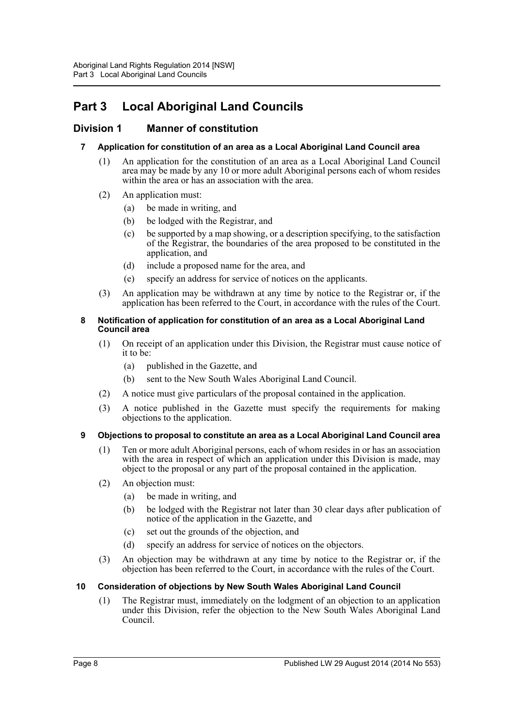# <span id="page-7-0"></span>**Part 3 Local Aboriginal Land Councils**

# <span id="page-7-2"></span><span id="page-7-1"></span>**Division 1 Manner of constitution**

# **7 Application for constitution of an area as a Local Aboriginal Land Council area**

- (1) An application for the constitution of an area as a Local Aboriginal Land Council area may be made by any 10 or more adult Aboriginal persons each of whom resides within the area or has an association with the area.
- (2) An application must:
	- (a) be made in writing, and
	- (b) be lodged with the Registrar, and
	- (c) be supported by a map showing, or a description specifying, to the satisfaction of the Registrar, the boundaries of the area proposed to be constituted in the application, and
	- (d) include a proposed name for the area, and
	- (e) specify an address for service of notices on the applicants.
- (3) An application may be withdrawn at any time by notice to the Registrar or, if the application has been referred to the Court, in accordance with the rules of the Court.

#### <span id="page-7-3"></span>**8 Notification of application for constitution of an area as a Local Aboriginal Land Council area**

- (1) On receipt of an application under this Division, the Registrar must cause notice of it to be:
	- (a) published in the Gazette, and
	- (b) sent to the New South Wales Aboriginal Land Council.
- (2) A notice must give particulars of the proposal contained in the application.
- (3) A notice published in the Gazette must specify the requirements for making objections to the application.

# <span id="page-7-4"></span>**9 Objections to proposal to constitute an area as a Local Aboriginal Land Council area**

- (1) Ten or more adult Aboriginal persons, each of whom resides in or has an association with the area in respect of which an application under this Division is made, may object to the proposal or any part of the proposal contained in the application.
- (2) An objection must:
	- (a) be made in writing, and
	- (b) be lodged with the Registrar not later than 30 clear days after publication of notice of the application in the Gazette, and
	- (c) set out the grounds of the objection, and
	- (d) specify an address for service of notices on the objectors.
- (3) An objection may be withdrawn at any time by notice to the Registrar or, if the objection has been referred to the Court, in accordance with the rules of the Court.

# <span id="page-7-5"></span>**10 Consideration of objections by New South Wales Aboriginal Land Council**

(1) The Registrar must, immediately on the lodgment of an objection to an application under this Division, refer the objection to the New South Wales Aboriginal Land Council.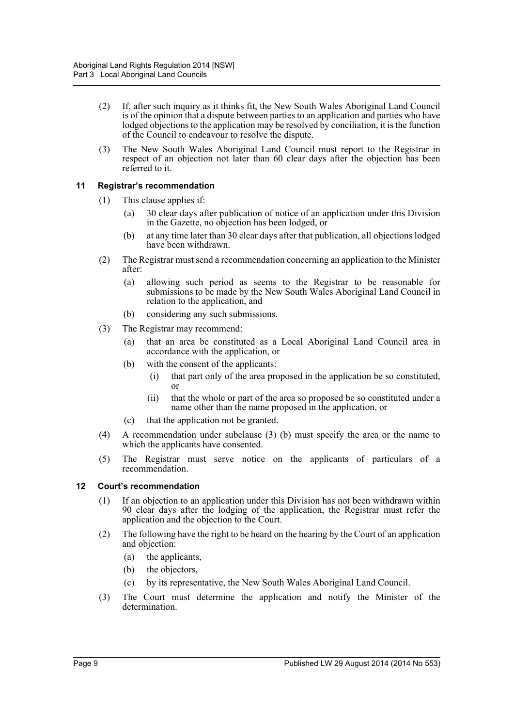- (2) If, after such inquiry as it thinks fit, the New South Wales Aboriginal Land Council is of the opinion that a dispute between parties to an application and parties who have lodged objections to the application may be resolved by conciliation, it is the function of the Council to endeavour to resolve the dispute.
- (3) The New South Wales Aboriginal Land Council must report to the Registrar in respect of an objection not later than 60 clear days after the objection has been referred to it.

# <span id="page-8-0"></span>**11 Registrar's recommendation**

- (1) This clause applies if:
	- (a) 30 clear days after publication of notice of an application under this Division in the Gazette, no objection has been lodged, or
	- (b) at any time later than 30 clear days after that publication, all objections lodged have been withdrawn.
- (2) The Registrar must send a recommendation concerning an application to the Minister after:
	- (a) allowing such period as seems to the Registrar to be reasonable for submissions to be made by the New South Wales Aboriginal Land Council in relation to the application, and
	- (b) considering any such submissions.
- (3) The Registrar may recommend:
	- (a) that an area be constituted as a Local Aboriginal Land Council area in accordance with the application, or
	- (b) with the consent of the applicants:
		- (i) that part only of the area proposed in the application be so constituted, or
		- (ii) that the whole or part of the area so proposed be so constituted under a name other than the name proposed in the application, or
	- (c) that the application not be granted.
- (4) A recommendation under subclause (3) (b) must specify the area or the name to which the applicants have consented.
- (5) The Registrar must serve notice on the applicants of particulars of a recommendation.

# <span id="page-8-1"></span>**12 Court's recommendation**

- (1) If an objection to an application under this Division has not been withdrawn within 90 clear days after the lodging of the application, the Registrar must refer the application and the objection to the Court.
- (2) The following have the right to be heard on the hearing by the Court of an application and objection:
	- (a) the applicants,
	- (b) the objectors,
	- (c) by its representative, the New South Wales Aboriginal Land Council.
- (3) The Court must determine the application and notify the Minister of the determination.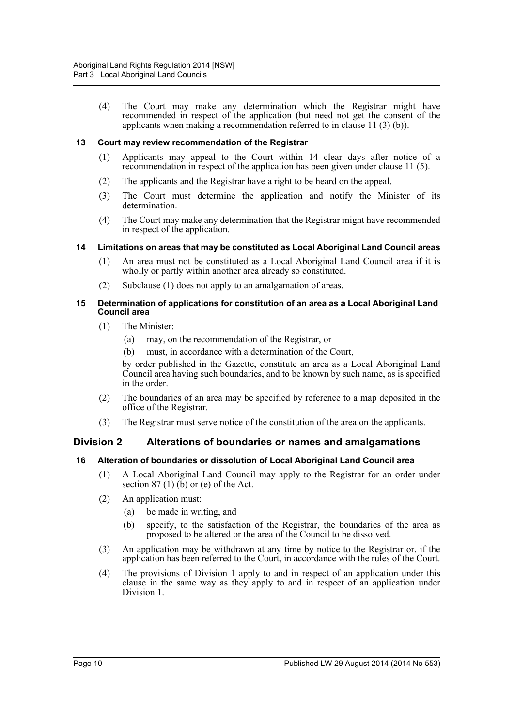(4) The Court may make any determination which the Registrar might have recommended in respect of the application (but need not get the consent of the applicants when making a recommendation referred to in clause 11 (3) (b)).

#### <span id="page-9-0"></span>**13 Court may review recommendation of the Registrar**

- (1) Applicants may appeal to the Court within 14 clear days after notice of a recommendation in respect of the application has been given under clause 11 (5).
- (2) The applicants and the Registrar have a right to be heard on the appeal.
- (3) The Court must determine the application and notify the Minister of its determination.
- (4) The Court may make any determination that the Registrar might have recommended in respect of the application.

#### <span id="page-9-1"></span>**14 Limitations on areas that may be constituted as Local Aboriginal Land Council areas**

- (1) An area must not be constituted as a Local Aboriginal Land Council area if it is wholly or partly within another area already so constituted.
- (2) Subclause (1) does not apply to an amalgamation of areas.

#### <span id="page-9-2"></span>**15 Determination of applications for constitution of an area as a Local Aboriginal Land Council area**

- (1) The Minister:
	- (a) may, on the recommendation of the Registrar, or
	- (b) must, in accordance with a determination of the Court,

by order published in the Gazette, constitute an area as a Local Aboriginal Land Council area having such boundaries, and to be known by such name, as is specified in the order.

- (2) The boundaries of an area may be specified by reference to a map deposited in the office of the Registrar.
- (3) The Registrar must serve notice of the constitution of the area on the applicants.

# <span id="page-9-3"></span>**Division 2 Alterations of boundaries or names and amalgamations**

#### <span id="page-9-4"></span>**16 Alteration of boundaries or dissolution of Local Aboriginal Land Council area**

- (1) A Local Aboriginal Land Council may apply to the Registrar for an order under section  $87(1)$  (b) or (e) of the Act.
- (2) An application must:
	- (a) be made in writing, and
	- (b) specify, to the satisfaction of the Registrar, the boundaries of the area as proposed to be altered or the area of the Council to be dissolved.
- (3) An application may be withdrawn at any time by notice to the Registrar or, if the application has been referred to the Court, in accordance with the rules of the Court.
- (4) The provisions of Division 1 apply to and in respect of an application under this clause in the same way as they apply to and in respect of an application under Division 1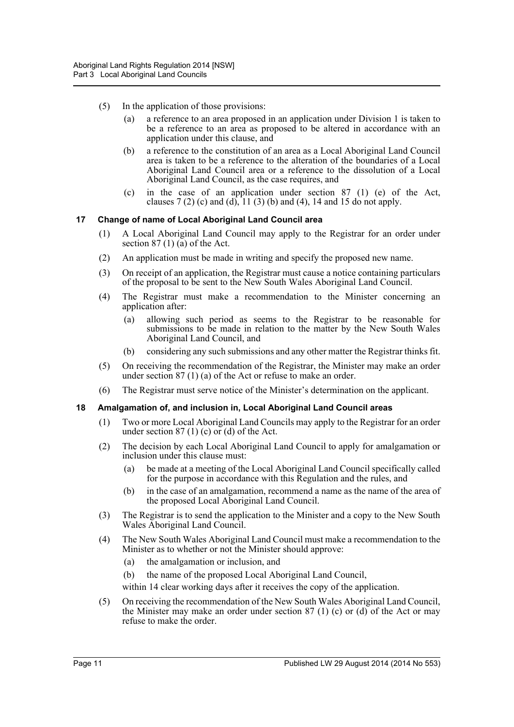- (5) In the application of those provisions:
	- (a) a reference to an area proposed in an application under Division 1 is taken to be a reference to an area as proposed to be altered in accordance with an application under this clause, and
	- (b) a reference to the constitution of an area as a Local Aboriginal Land Council area is taken to be a reference to the alteration of the boundaries of a Local Aboriginal Land Council area or a reference to the dissolution of a Local Aboriginal Land Council, as the case requires, and
	- (c) in the case of an application under section 87 (1) (e) of the Act, clauses  $7(2)$  (c) and (d),  $11(3)$  (b) and (4), 14 and 15 do not apply.

#### <span id="page-10-0"></span>**17 Change of name of Local Aboriginal Land Council area**

- (1) A Local Aboriginal Land Council may apply to the Registrar for an order under section 87 (1) ( $\tilde{a}$ ) of the Act.
- (2) An application must be made in writing and specify the proposed new name.
- (3) On receipt of an application, the Registrar must cause a notice containing particulars of the proposal to be sent to the New South Wales Aboriginal Land Council.
- (4) The Registrar must make a recommendation to the Minister concerning an application after:
	- (a) allowing such period as seems to the Registrar to be reasonable for submissions to be made in relation to the matter by the New South Wales Aboriginal Land Council, and
	- (b) considering any such submissions and any other matter the Registrar thinks fit.
- (5) On receiving the recommendation of the Registrar, the Minister may make an order under section 87 (1) (a) of the Act or refuse to make an order.
- (6) The Registrar must serve notice of the Minister's determination on the applicant.

#### <span id="page-10-1"></span>**18 Amalgamation of, and inclusion in, Local Aboriginal Land Council areas**

- (1) Two or more Local Aboriginal Land Councils may apply to the Registrar for an order under section  $87(1)(c)$  or (d) of the Act.
- (2) The decision by each Local Aboriginal Land Council to apply for amalgamation or inclusion under this clause must:
	- (a) be made at a meeting of the Local Aboriginal Land Council specifically called for the purpose in accordance with this Regulation and the rules, and
	- (b) in the case of an amalgamation, recommend a name as the name of the area of the proposed Local Aboriginal Land Council.
- (3) The Registrar is to send the application to the Minister and a copy to the New South Wales Aboriginal Land Council.
- (4) The New South Wales Aboriginal Land Council must make a recommendation to the Minister as to whether or not the Minister should approve:
	- (a) the amalgamation or inclusion, and
	- (b) the name of the proposed Local Aboriginal Land Council,
	- within 14 clear working days after it receives the copy of the application.
- (5) On receiving the recommendation of the New South Wales Aboriginal Land Council, the Minister may make an order under section 87 (1) (c) or (d) of the Act or may refuse to make the order.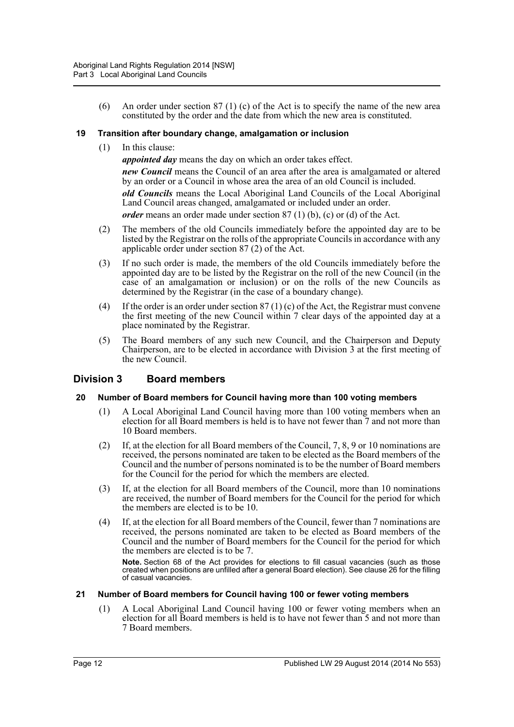(6) An order under section 87 (1) (c) of the Act is to specify the name of the new area constituted by the order and the date from which the new area is constituted.

# <span id="page-11-0"></span>**19 Transition after boundary change, amalgamation or inclusion**

(1) In this clause:

*appointed day* means the day on which an order takes effect.

*new Council* means the Council of an area after the area is amalgamated or altered by an order or a Council in whose area the area of an old Council is included. *old Councils* means the Local Aboriginal Land Councils of the Local Aboriginal Land Council areas changed, amalgamated or included under an order.

*order* means an order made under section 87 (1) (b), (c) or (d) of the Act.

- (2) The members of the old Councils immediately before the appointed day are to be listed by the Registrar on the rolls of the appropriate Councils in accordance with any applicable order under section 87 (2) of the Act.
- (3) If no such order is made, the members of the old Councils immediately before the appointed day are to be listed by the Registrar on the roll of the new Council (in the case of an amalgamation or inclusion) or on the rolls of the new Councils as determined by the Registrar (in the case of a boundary change).
- (4) If the order is an order under section 87 (1) (c) of the Act, the Registrar must convene the first meeting of the new Council within 7 clear days of the appointed day at a place nominated by the Registrar.
- (5) The Board members of any such new Council, and the Chairperson and Deputy Chairperson, are to be elected in accordance with Division 3 at the first meeting of the new Council.

# <span id="page-11-1"></span>**Division 3 Board members**

# <span id="page-11-2"></span>**20 Number of Board members for Council having more than 100 voting members**

- (1) A Local Aboriginal Land Council having more than 100 voting members when an election for all Board members is held is to have not fewer than 7 and not more than 10 Board members.
- (2) If, at the election for all Board members of the Council, 7, 8, 9 or 10 nominations are received, the persons nominated are taken to be elected as the Board members of the Council and the number of persons nominated is to be the number of Board members for the Council for the period for which the members are elected.
- (3) If, at the election for all Board members of the Council, more than 10 nominations are received, the number of Board members for the Council for the period for which the members are elected is to be 10.
- (4) If, at the election for all Board members of the Council, fewer than 7 nominations are received, the persons nominated are taken to be elected as Board members of the Council and the number of Board members for the Council for the period for which the members are elected is to be 7.

**Note.** Section 68 of the Act provides for elections to fill casual vacancies (such as those created when positions are unfilled after a general Board election). See clause 26 for the filling of casual vacancies.

# <span id="page-11-3"></span>**21 Number of Board members for Council having 100 or fewer voting members**

(1) A Local Aboriginal Land Council having 100 or fewer voting members when an election for all Board members is held is to have not fewer than 5 and not more than 7 Board members.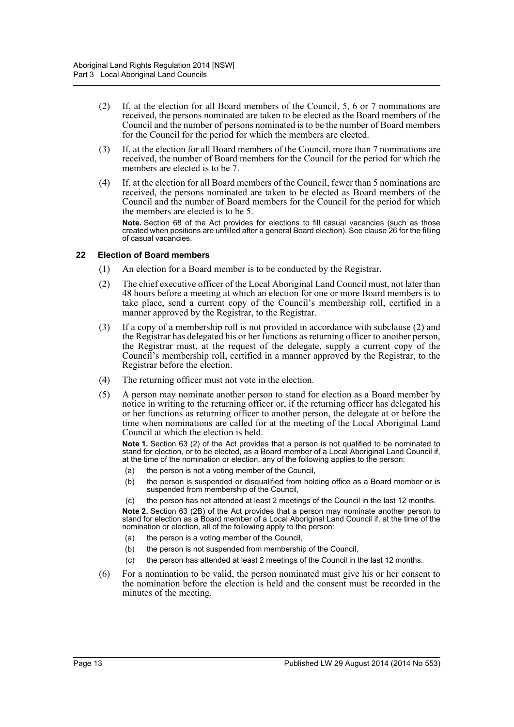- (2) If, at the election for all Board members of the Council, 5, 6 or 7 nominations are received, the persons nominated are taken to be elected as the Board members of the Council and the number of persons nominated is to be the number of Board members for the Council for the period for which the members are elected.
- (3) If, at the election for all Board members of the Council, more than 7 nominations are received, the number of Board members for the Council for the period for which the members are elected is to be 7.
- (4) If, at the election for all Board members of the Council, fewer than 5 nominations are received, the persons nominated are taken to be elected as Board members of the Council and the number of Board members for the Council for the period for which the members are elected is to be 5.

**Note.** Section 68 of the Act provides for elections to fill casual vacancies (such as those created when positions are unfilled after a general Board election). See clause 26 for the filling of casual vacancies.

#### <span id="page-12-0"></span>**22 Election of Board members**

- (1) An election for a Board member is to be conducted by the Registrar.
- (2) The chief executive officer of the Local Aboriginal Land Council must, not later than 48 hours before a meeting at which an election for one or more Board members is to take place, send a current copy of the Council's membership roll, certified in a manner approved by the Registrar, to the Registrar.
- (3) If a copy of a membership roll is not provided in accordance with subclause (2) and the Registrar has delegated his or her functions as returning officer to another person, the Registrar must, at the request of the delegate, supply a current copy of the Council's membership roll, certified in a manner approved by the Registrar, to the Registrar before the election.
- (4) The returning officer must not vote in the election.
- (5) A person may nominate another person to stand for election as a Board member by notice in writing to the returning officer or, if the returning officer has delegated his or her functions as returning officer to another person, the delegate at or before the time when nominations are called for at the meeting of the Local Aboriginal Land Council at which the election is held.

**Note 1.** Section 63 (2) of the Act provides that a person is not qualified to be nominated to stand for election, or to be elected, as a Board member of a Local Aboriginal Land Council if, at the time of the nomination or election, any of the following applies to the person:

- (a) the person is not a voting member of the Council,
- (b) the person is suspended or disqualified from holding office as a Board member or is suspended from membership of the Council,
- (c) the person has not attended at least 2 meetings of the Council in the last 12 months.

**Note 2.** Section 63 (2B) of the Act provides that a person may nominate another person to stand for election as a Board member of a Local Aboriginal Land Council if, at the time of the nomination or election, all of the following apply to the person:

- (a) the person is a voting member of the Council,
- (b) the person is not suspended from membership of the Council,
- (c) the person has attended at least 2 meetings of the Council in the last 12 months.
- (6) For a nomination to be valid, the person nominated must give his or her consent to the nomination before the election is held and the consent must be recorded in the minutes of the meeting.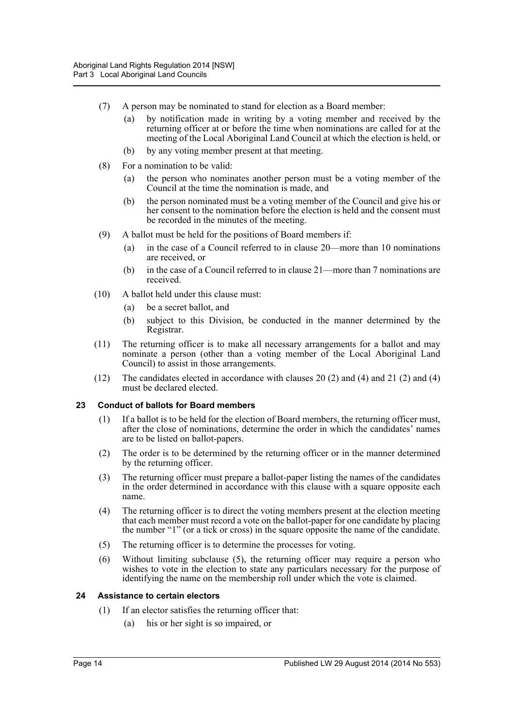- (7) A person may be nominated to stand for election as a Board member:
	- (a) by notification made in writing by a voting member and received by the returning officer at or before the time when nominations are called for at the meeting of the Local Aboriginal Land Council at which the election is held, or
	- (b) by any voting member present at that meeting.
- (8) For a nomination to be valid:
	- (a) the person who nominates another person must be a voting member of the Council at the time the nomination is made, and
	- (b) the person nominated must be a voting member of the Council and give his or her consent to the nomination before the election is held and the consent must be recorded in the minutes of the meeting.
- (9) A ballot must be held for the positions of Board members if:
	- (a) in the case of a Council referred to in clause 20—more than 10 nominations are received, or
	- (b) in the case of a Council referred to in clause 21—more than 7 nominations are received.
- (10) A ballot held under this clause must:
	- (a) be a secret ballot, and
	- (b) subject to this Division, be conducted in the manner determined by the Registrar.
- (11) The returning officer is to make all necessary arrangements for a ballot and may nominate a person (other than a voting member of the Local Aboriginal Land Council) to assist in those arrangements.
- (12) The candidates elected in accordance with clauses 20 (2) and (4) and 21 (2) and (4) must be declared elected.

# <span id="page-13-0"></span>**23 Conduct of ballots for Board members**

- (1) If a ballot is to be held for the election of Board members, the returning officer must, after the close of nominations, determine the order in which the candidates' names are to be listed on ballot-papers.
- (2) The order is to be determined by the returning officer or in the manner determined by the returning officer.
- (3) The returning officer must prepare a ballot-paper listing the names of the candidates in the order determined in accordance with this clause with a square opposite each name.
- (4) The returning officer is to direct the voting members present at the election meeting that each member must record a vote on the ballot-paper for one candidate by placing the number "1" (or a tick or cross) in the square opposite the name of the candidate.
- (5) The returning officer is to determine the processes for voting.
- (6) Without limiting subclause (5), the returning officer may require a person who wishes to vote in the election to state any particulars necessary for the purpose of identifying the name on the membership roll under which the vote is claimed.

#### <span id="page-13-1"></span>**24 Assistance to certain electors**

- (1) If an elector satisfies the returning officer that:
	- (a) his or her sight is so impaired, or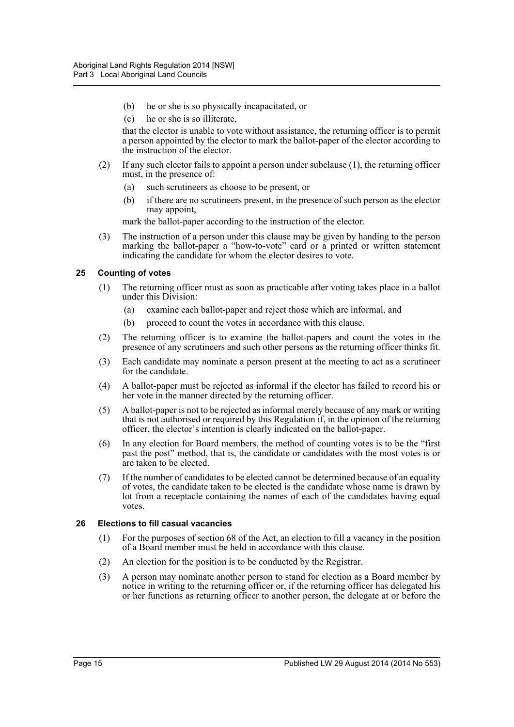- (b) he or she is so physically incapacitated, or
- (c) he or she is so illiterate,

that the elector is unable to vote without assistance, the returning officer is to permit a person appointed by the elector to mark the ballot-paper of the elector according to the instruction of the elector.

- (2) If any such elector fails to appoint a person under subclause (1), the returning officer must, in the presence of:
	- (a) such scrutineers as choose to be present, or
	- (b) if there are no scrutineers present, in the presence of such person as the elector may appoint,

mark the ballot-paper according to the instruction of the elector.

(3) The instruction of a person under this clause may be given by handing to the person marking the ballot-paper a "how-to-vote" card or a printed or written statement indicating the candidate for whom the elector desires to vote.

#### <span id="page-14-0"></span>**25 Counting of votes**

- (1) The returning officer must as soon as practicable after voting takes place in a ballot under this Division:
	- (a) examine each ballot-paper and reject those which are informal, and
	- (b) proceed to count the votes in accordance with this clause.
- (2) The returning officer is to examine the ballot-papers and count the votes in the presence of any scrutineers and such other persons as the returning officer thinks fit.
- (3) Each candidate may nominate a person present at the meeting to act as a scrutineer for the candidate.
- (4) A ballot-paper must be rejected as informal if the elector has failed to record his or her vote in the manner directed by the returning officer.
- (5) A ballot-paper is not to be rejected as informal merely because of any mark or writing that is not authorised or required by this Regulation if, in the opinion of the returning officer, the elector's intention is clearly indicated on the ballot-paper.
- (6) In any election for Board members, the method of counting votes is to be the "first past the post" method, that is, the candidate or candidates with the most votes is or are taken to be elected.
- (7) If the number of candidates to be elected cannot be determined because of an equality of votes, the candidate taken to be elected is the candidate whose name is drawn by lot from a receptacle containing the names of each of the candidates having equal votes.

#### <span id="page-14-1"></span>**26 Elections to fill casual vacancies**

- (1) For the purposes of section 68 of the Act, an election to fill a vacancy in the position of a Board member must be held in accordance with this clause.
- (2) An election for the position is to be conducted by the Registrar.
- (3) A person may nominate another person to stand for election as a Board member by notice in writing to the returning officer or, if the returning officer has delegated his or her functions as returning officer to another person, the delegate at or before the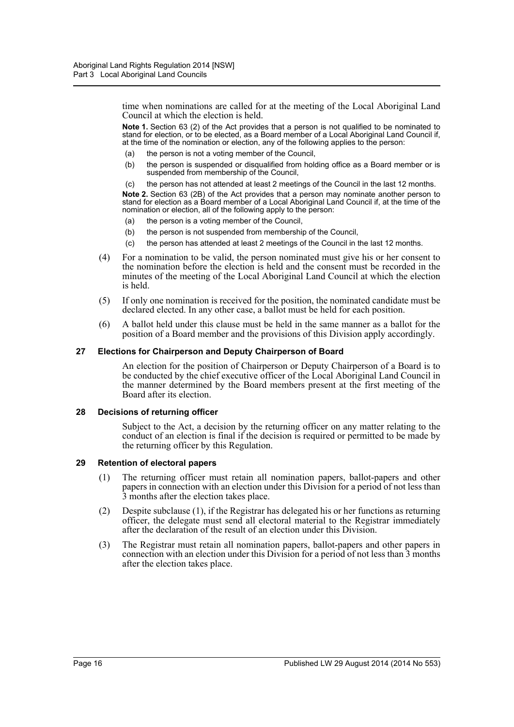time when nominations are called for at the meeting of the Local Aboriginal Land Council at which the election is held.

**Note 1.** Section 63 (2) of the Act provides that a person is not qualified to be nominated to stand for election, or to be elected, as a Board member of a Local Aboriginal Land Council if, at the time of the nomination or election, any of the following applies to the person:

- (a) the person is not a voting member of the Council,
- (b) the person is suspended or disqualified from holding office as a Board member or is suspended from membership of the Council,
- (c) the person has not attended at least 2 meetings of the Council in the last 12 months.

**Note 2.** Section 63 (2B) of the Act provides that a person may nominate another person to stand for election as a Board member of a Local Aboriginal Land Council if, at the time of the nomination or election, all of the following apply to the person:

- (a) the person is a voting member of the Council,
- (b) the person is not suspended from membership of the Council,
- (c) the person has attended at least 2 meetings of the Council in the last 12 months.
- (4) For a nomination to be valid, the person nominated must give his or her consent to the nomination before the election is held and the consent must be recorded in the minutes of the meeting of the Local Aboriginal Land Council at which the election is held.
- (5) If only one nomination is received for the position, the nominated candidate must be declared elected. In any other case, a ballot must be held for each position.
- (6) A ballot held under this clause must be held in the same manner as a ballot for the position of a Board member and the provisions of this Division apply accordingly.

#### <span id="page-15-0"></span>**27 Elections for Chairperson and Deputy Chairperson of Board**

An election for the position of Chairperson or Deputy Chairperson of a Board is to be conducted by the chief executive officer of the Local Aboriginal Land Council in the manner determined by the Board members present at the first meeting of the Board after its election.

#### <span id="page-15-1"></span>**28 Decisions of returning officer**

Subject to the Act, a decision by the returning officer on any matter relating to the conduct of an election is final if the decision is required or permitted to be made by the returning officer by this Regulation.

#### <span id="page-15-2"></span>**29 Retention of electoral papers**

- (1) The returning officer must retain all nomination papers, ballot-papers and other papers in connection with an election under this Division for a period of not less than 3 months after the election takes place.
- (2) Despite subclause (1), if the Registrar has delegated his or her functions as returning officer, the delegate must send all electoral material to the Registrar immediately after the declaration of the result of an election under this Division.
- (3) The Registrar must retain all nomination papers, ballot-papers and other papers in connection with an election under this Division for a period of not less than 3 months after the election takes place.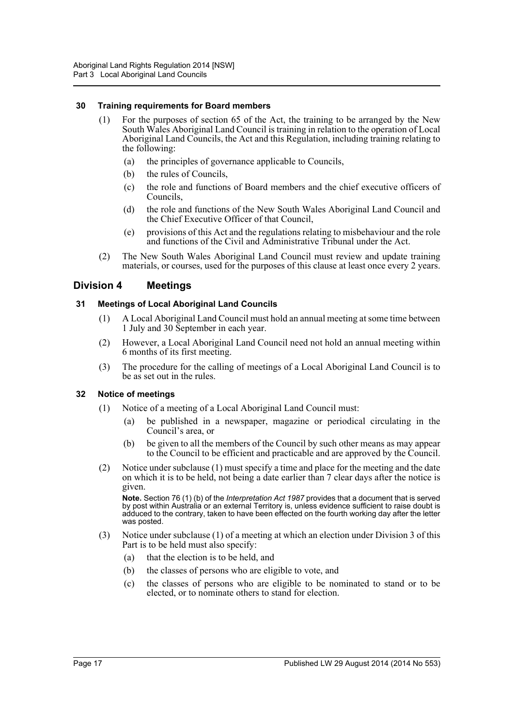#### <span id="page-16-0"></span>**30 Training requirements for Board members**

- (1) For the purposes of section 65 of the Act, the training to be arranged by the New South Wales Aboriginal Land Council is training in relation to the operation of Local Aboriginal Land Councils, the Act and this Regulation, including training relating to the following:
	- (a) the principles of governance applicable to Councils,
	- (b) the rules of Councils,
	- (c) the role and functions of Board members and the chief executive officers of Councils,
	- (d) the role and functions of the New South Wales Aboriginal Land Council and the Chief Executive Officer of that Council,
	- (e) provisions of this Act and the regulations relating to misbehaviour and the role and functions of the Civil and Administrative Tribunal under the Act.
- (2) The New South Wales Aboriginal Land Council must review and update training materials, or courses, used for the purposes of this clause at least once every 2 years.

# <span id="page-16-1"></span>**Division 4 Meetings**

#### <span id="page-16-2"></span>**31 Meetings of Local Aboriginal Land Councils**

- (1) A Local Aboriginal Land Council must hold an annual meeting at some time between 1 July and 30 September in each year.
- (2) However, a Local Aboriginal Land Council need not hold an annual meeting within 6 months of its first meeting.
- (3) The procedure for the calling of meetings of a Local Aboriginal Land Council is to be as set out in the rules.

#### <span id="page-16-3"></span>**32 Notice of meetings**

- (1) Notice of a meeting of a Local Aboriginal Land Council must:
	- (a) be published in a newspaper, magazine or periodical circulating in the Council's area, or
	- (b) be given to all the members of the Council by such other means as may appear to the Council to be efficient and practicable and are approved by the Council.
- (2) Notice under subclause (1) must specify a time and place for the meeting and the date on which it is to be held, not being a date earlier than 7 clear days after the notice is given.

**Note.** Section 76 (1) (b) of the *Interpretation Act 1987* provides that a document that is served by post within Australia or an external Territory is, unless evidence sufficient to raise doubt is adduced to the contrary, taken to have been effected on the fourth working day after the letter was posted.

- (3) Notice under subclause (1) of a meeting at which an election under Division 3 of this Part is to be held must also specify:
	- (a) that the election is to be held, and
	- (b) the classes of persons who are eligible to vote, and
	- (c) the classes of persons who are eligible to be nominated to stand or to be elected, or to nominate others to stand for election.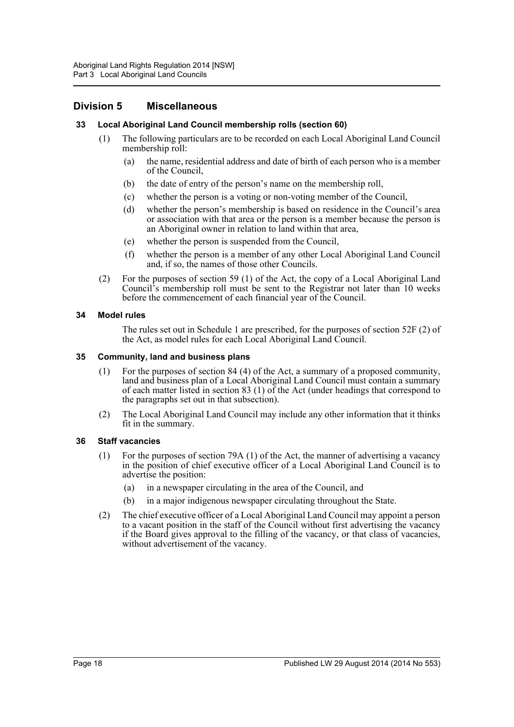# <span id="page-17-0"></span>**Division 5 Miscellaneous**

#### <span id="page-17-1"></span>**33 Local Aboriginal Land Council membership rolls (section 60)**

- (1) The following particulars are to be recorded on each Local Aboriginal Land Council membership roll:
	- (a) the name, residential address and date of birth of each person who is a member of the Council,
	- (b) the date of entry of the person's name on the membership roll,
	- (c) whether the person is a voting or non-voting member of the Council,
	- (d) whether the person's membership is based on residence in the Council's area or association with that area or the person is a member because the person is an Aboriginal owner in relation to land within that area,
	- (e) whether the person is suspended from the Council,
	- (f) whether the person is a member of any other Local Aboriginal Land Council and, if so, the names of those other Councils.
- (2) For the purposes of section 59 (1) of the Act, the copy of a Local Aboriginal Land Council's membership roll must be sent to the Registrar not later than 10 weeks before the commencement of each financial year of the Council.

#### <span id="page-17-2"></span>**34 Model rules**

The rules set out in Schedule 1 are prescribed, for the purposes of section 52F (2) of the Act, as model rules for each Local Aboriginal Land Council.

#### <span id="page-17-3"></span>**35 Community, land and business plans**

- (1) For the purposes of section 84 (4) of the Act, a summary of a proposed community, land and business plan of a Local Aboriginal Land Council must contain a summary of each matter listed in section 83 (1) of the Act (under headings that correspond to the paragraphs set out in that subsection).
- (2) The Local Aboriginal Land Council may include any other information that it thinks fit in the summary.

#### <span id="page-17-4"></span>**36 Staff vacancies**

- (1) For the purposes of section 79A (1) of the Act, the manner of advertising a vacancy in the position of chief executive officer of a Local Aboriginal Land Council is to advertise the position:
	- (a) in a newspaper circulating in the area of the Council, and
	- (b) in a major indigenous newspaper circulating throughout the State.
- (2) The chief executive officer of a Local Aboriginal Land Council may appoint a person to a vacant position in the staff of the Council without first advertising the vacancy if the Board gives approval to the filling of the vacancy, or that class of vacancies, without advertisement of the vacancy.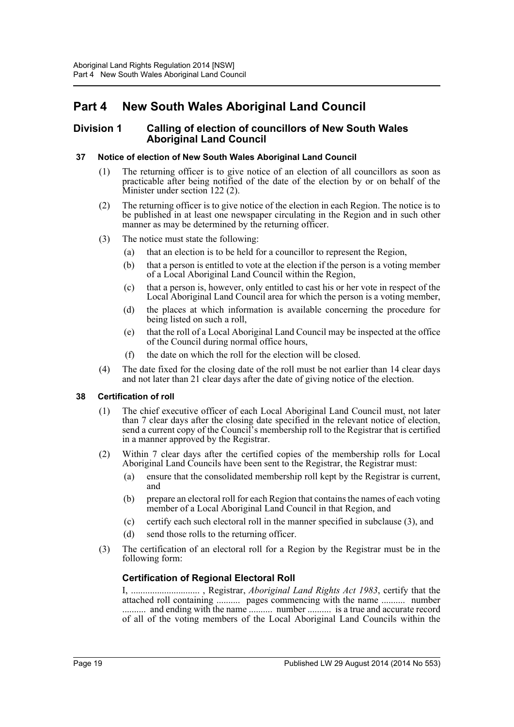# <span id="page-18-0"></span>**Part 4 New South Wales Aboriginal Land Council**

# <span id="page-18-1"></span>**Division 1 Calling of election of councillors of New South Wales Aboriginal Land Council**

# <span id="page-18-2"></span>**37 Notice of election of New South Wales Aboriginal Land Council**

- (1) The returning officer is to give notice of an election of all councillors as soon as practicable after being notified of the date of the election by or on behalf of the Minister under section 122 (2).
- (2) The returning officer is to give notice of the election in each Region. The notice is to be published in at least one newspaper circulating in the Region and in such other manner as may be determined by the returning officer.
- (3) The notice must state the following:
	- (a) that an election is to be held for a councillor to represent the Region,
	- (b) that a person is entitled to vote at the election if the person is a voting member of a Local Aboriginal Land Council within the Region,
	- (c) that a person is, however, only entitled to cast his or her vote in respect of the Local Aboriginal Land Council area for which the person is a voting member,
	- (d) the places at which information is available concerning the procedure for being listed on such a roll,
	- (e) that the roll of a Local Aboriginal Land Council may be inspected at the office of the Council during normal office hours,
	- (f) the date on which the roll for the election will be closed.
- (4) The date fixed for the closing date of the roll must be not earlier than 14 clear days and not later than 21 clear days after the date of giving notice of the election.

# <span id="page-18-3"></span>**38 Certification of roll**

- (1) The chief executive officer of each Local Aboriginal Land Council must, not later than 7 clear days after the closing date specified in the relevant notice of election, send a current copy of the Council's membership roll to the Registrar that is certified in a manner approved by the Registrar.
- (2) Within 7 clear days after the certified copies of the membership rolls for Local Aboriginal Land Councils have been sent to the Registrar, the Registrar must:
	- (a) ensure that the consolidated membership roll kept by the Registrar is current, and
	- (b) prepare an electoral roll for each Region that contains the names of each voting member of a Local Aboriginal Land Council in that Region, and
	- (c) certify each such electoral roll in the manner specified in subclause (3), and
	- (d) send those rolls to the returning officer.
- (3) The certification of an electoral roll for a Region by the Registrar must be in the following form:

# **Certification of Regional Electoral Roll**

I, ............................. , Registrar, *Aboriginal Land Rights Act 1983*, certify that the attached roll containing .......... pages commencing with the name .......... number .......... and ending with the name .......... number .......... is a true and accurate record of all of the voting members of the Local Aboriginal Land Councils within the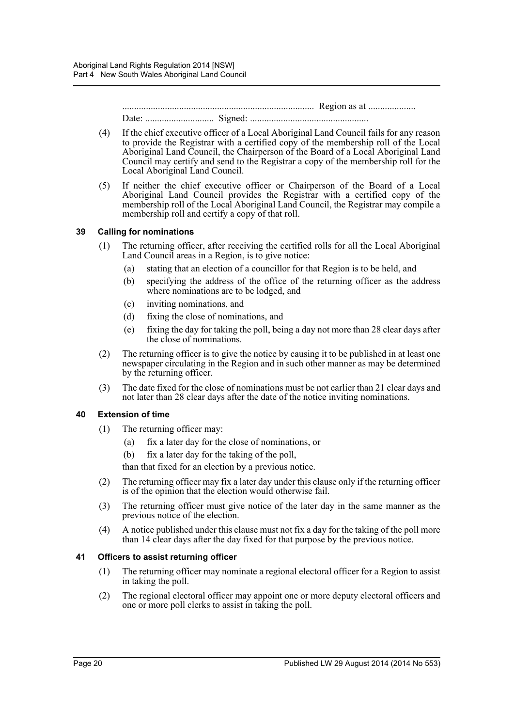................................................................................. Region as at .................... Date: ............................. Signed: ..................................................

- (4) If the chief executive officer of a Local Aboriginal Land Council fails for any reason to provide the Registrar with a certified copy of the membership roll of the Local Aboriginal Land Council, the Chairperson of the Board of a Local Aboriginal Land Council may certify and send to the Registrar a copy of the membership roll for the Local Aboriginal Land Council.
- (5) If neither the chief executive officer or Chairperson of the Board of a Local Aboriginal Land Council provides the Registrar with a certified copy of the membership roll of the Local Aboriginal Land Council, the Registrar may compile a membership roll and certify a copy of that roll.

#### <span id="page-19-0"></span>**39 Calling for nominations**

- (1) The returning officer, after receiving the certified rolls for all the Local Aboriginal Land Council areas in a Region, is to give notice:
	- (a) stating that an election of a councillor for that Region is to be held, and
	- (b) specifying the address of the office of the returning officer as the address where nominations are to be lodged, and
	- (c) inviting nominations, and
	- (d) fixing the close of nominations, and
	- (e) fixing the day for taking the poll, being a day not more than 28 clear days after the close of nominations.
- (2) The returning officer is to give the notice by causing it to be published in at least one newspaper circulating in the Region and in such other manner as may be determined by the returning officer.
- (3) The date fixed for the close of nominations must be not earlier than 21 clear days and not later than 28 clear days after the date of the notice inviting nominations.

# <span id="page-19-1"></span>**40 Extension of time**

- (1) The returning officer may:
	- (a) fix a later day for the close of nominations, or
	- (b) fix a later day for the taking of the poll,
	- than that fixed for an election by a previous notice.
- (2) The returning officer may fix a later day under this clause only if the returning officer is of the opinion that the election would otherwise fail.
- (3) The returning officer must give notice of the later day in the same manner as the previous notice of the election.
- (4) A notice published under this clause must not fix a day for the taking of the poll more than 14 clear days after the day fixed for that purpose by the previous notice.

#### <span id="page-19-2"></span>**41 Officers to assist returning officer**

- (1) The returning officer may nominate a regional electoral officer for a Region to assist in taking the poll.
- (2) The regional electoral officer may appoint one or more deputy electoral officers and one or more poll clerks to assist in taking the poll.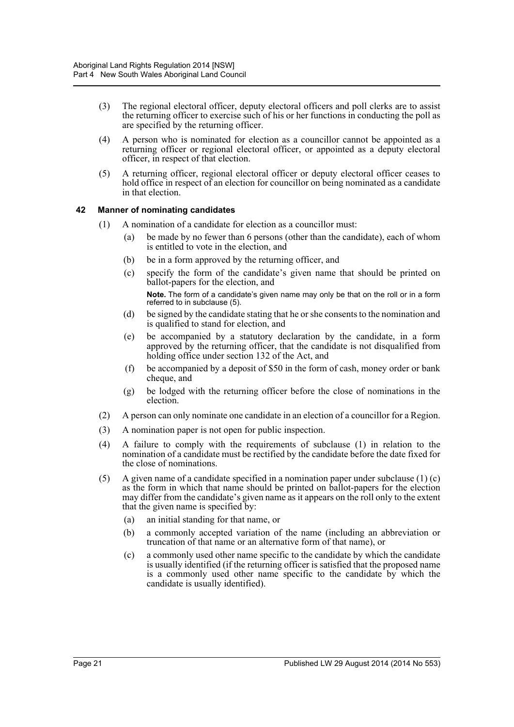- (3) The regional electoral officer, deputy electoral officers and poll clerks are to assist the returning officer to exercise such of his or her functions in conducting the poll as are specified by the returning officer.
- (4) A person who is nominated for election as a councillor cannot be appointed as a returning officer or regional electoral officer, or appointed as a deputy electoral officer, in respect of that election.
- (5) A returning officer, regional electoral officer or deputy electoral officer ceases to hold office in respect of an election for councillor on being nominated as a candidate in that election.

# <span id="page-20-0"></span>**42 Manner of nominating candidates**

- (1) A nomination of a candidate for election as a councillor must:
	- (a) be made by no fewer than 6 persons (other than the candidate), each of whom is entitled to vote in the election, and
	- (b) be in a form approved by the returning officer, and
	- (c) specify the form of the candidate's given name that should be printed on ballot-papers for the election, and

**Note.** The form of a candidate's given name may only be that on the roll or in a form referred to in subclause (5).

- (d) be signed by the candidate stating that he or she consents to the nomination and is qualified to stand for election, and
- (e) be accompanied by a statutory declaration by the candidate, in a form approved by the returning officer, that the candidate is not disqualified from holding office under section 132 of the Act, and
- (f) be accompanied by a deposit of \$50 in the form of cash, money order or bank cheque, and
- (g) be lodged with the returning officer before the close of nominations in the election.
- (2) A person can only nominate one candidate in an election of a councillor for a Region.
- (3) A nomination paper is not open for public inspection.
- (4) A failure to comply with the requirements of subclause (1) in relation to the nomination of a candidate must be rectified by the candidate before the date fixed for the close of nominations.
- (5) A given name of a candidate specified in a nomination paper under subclause (1) (c) as the form in which that name should be printed on ballot-papers for the election may differ from the candidate's given name as it appears on the roll only to the extent that the given name is specified by:
	- (a) an initial standing for that name, or
	- (b) a commonly accepted variation of the name (including an abbreviation or truncation of that name or an alternative form of that name), or
	- (c) a commonly used other name specific to the candidate by which the candidate is usually identified (if the returning officer is satisfied that the proposed name is a commonly used other name specific to the candidate by which the candidate is usually identified).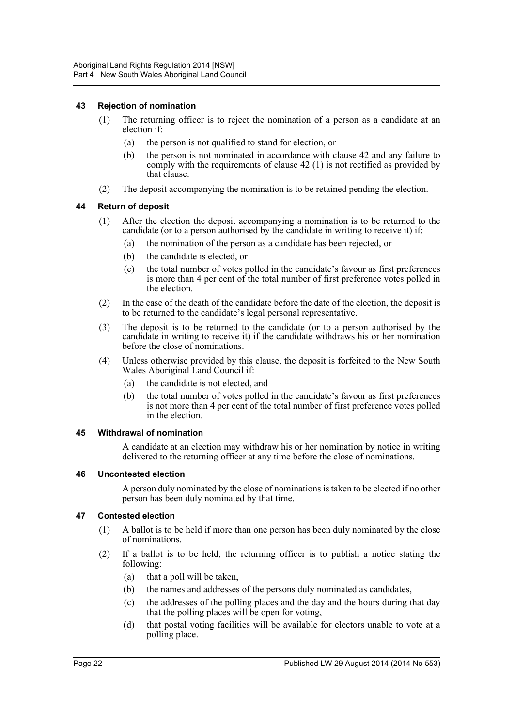#### <span id="page-21-0"></span>**43 Rejection of nomination**

- (1) The returning officer is to reject the nomination of a person as a candidate at an election if:
	- (a) the person is not qualified to stand for election, or
	- (b) the person is not nominated in accordance with clause 42 and any failure to comply with the requirements of clause 42 (1) is not rectified as provided by that clause.
- (2) The deposit accompanying the nomination is to be retained pending the election.

#### <span id="page-21-1"></span>**44 Return of deposit**

- (1) After the election the deposit accompanying a nomination is to be returned to the candidate (or to a person authorised by the candidate in writing to receive it) if:
	- (a) the nomination of the person as a candidate has been rejected, or
	- (b) the candidate is elected, or
	- (c) the total number of votes polled in the candidate's favour as first preferences is more than 4 per cent of the total number of first preference votes polled in the election.
- (2) In the case of the death of the candidate before the date of the election, the deposit is to be returned to the candidate's legal personal representative.
- (3) The deposit is to be returned to the candidate (or to a person authorised by the candidate in writing to receive it) if the candidate withdraws his or her nomination before the close of nominations.
- (4) Unless otherwise provided by this clause, the deposit is forfeited to the New South Wales Aboriginal Land Council if:
	- (a) the candidate is not elected, and
	- (b) the total number of votes polled in the candidate's favour as first preferences is not more than 4 per cent of the total number of first preference votes polled in the election.

#### <span id="page-21-2"></span>**45 Withdrawal of nomination**

A candidate at an election may withdraw his or her nomination by notice in writing delivered to the returning officer at any time before the close of nominations.

#### <span id="page-21-3"></span>**46 Uncontested election**

A person duly nominated by the close of nominations is taken to be elected if no other person has been duly nominated by that time.

#### <span id="page-21-4"></span>**47 Contested election**

- (1) A ballot is to be held if more than one person has been duly nominated by the close of nominations.
- (2) If a ballot is to be held, the returning officer is to publish a notice stating the following:
	- (a) that a poll will be taken,
	- (b) the names and addresses of the persons duly nominated as candidates,
	- (c) the addresses of the polling places and the day and the hours during that day that the polling places will be open for voting,
	- (d) that postal voting facilities will be available for electors unable to vote at a polling place.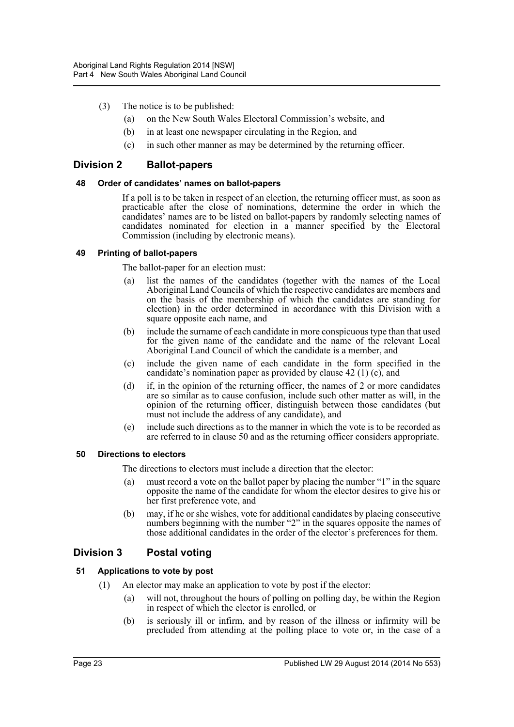- (3) The notice is to be published:
	- (a) on the New South Wales Electoral Commission's website, and
	- (b) in at least one newspaper circulating in the Region, and
	- (c) in such other manner as may be determined by the returning officer.

# <span id="page-22-0"></span>**Division 2 Ballot-papers**

#### <span id="page-22-1"></span>**48 Order of candidates' names on ballot-papers**

If a poll is to be taken in respect of an election, the returning officer must, as soon as practicable after the close of nominations, determine the order in which the candidates' names are to be listed on ballot-papers by randomly selecting names of candidates nominated for election in a manner specified by the Electoral Commission (including by electronic means).

#### <span id="page-22-2"></span>**49 Printing of ballot-papers**

The ballot-paper for an election must:

- list the names of the candidates (together with the names of the Local Aboriginal Land Councils of which the respective candidates are members and on the basis of the membership of which the candidates are standing for election) in the order determined in accordance with this Division with a square opposite each name, and
- (b) include the surname of each candidate in more conspicuous type than that used for the given name of the candidate and the name of the relevant Local Aboriginal Land Council of which the candidate is a member, and
- (c) include the given name of each candidate in the form specified in the candidate's nomination paper as provided by clause 42 (1) (c), and
- (d) if, in the opinion of the returning officer, the names of 2 or more candidates are so similar as to cause confusion, include such other matter as will, in the opinion of the returning officer, distinguish between those candidates (but must not include the address of any candidate), and
- (e) include such directions as to the manner in which the vote is to be recorded as are referred to in clause 50 and as the returning officer considers appropriate.

#### <span id="page-22-3"></span>**50 Directions to electors**

The directions to electors must include a direction that the elector:

- (a) must record a vote on the ballot paper by placing the number "1" in the square opposite the name of the candidate for whom the elector desires to give his or her first preference vote, and
- (b) may, if he or she wishes, vote for additional candidates by placing consecutive numbers beginning with the number "2" in the squares opposite the names of those additional candidates in the order of the elector's preferences for them.

# <span id="page-22-4"></span>**Division 3 Postal voting**

# <span id="page-22-5"></span>**51 Applications to vote by post**

- (1) An elector may make an application to vote by post if the elector:
	- (a) will not, throughout the hours of polling on polling day, be within the Region in respect of which the elector is enrolled, or
	- (b) is seriously ill or infirm, and by reason of the illness or infirmity will be precluded from attending at the polling place to vote or, in the case of a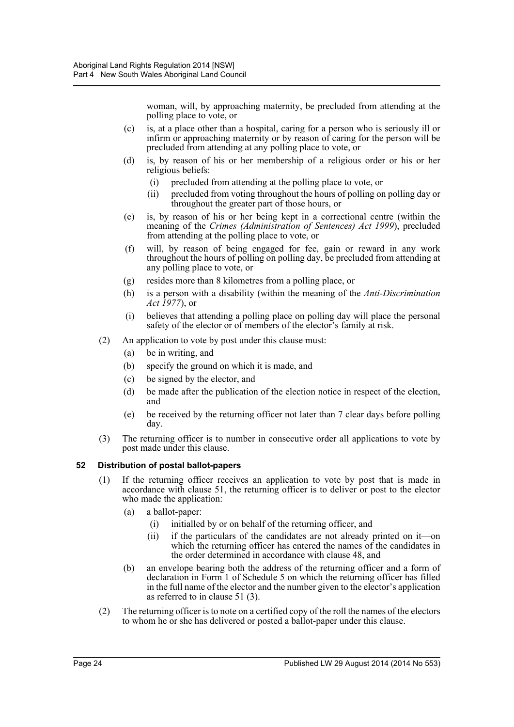woman, will, by approaching maternity, be precluded from attending at the polling place to vote, or

- (c) is, at a place other than a hospital, caring for a person who is seriously ill or infirm or approaching maternity or by reason of caring for the person will be precluded from attending at any polling place to vote, or
- (d) is, by reason of his or her membership of a religious order or his or her religious beliefs:
	- (i) precluded from attending at the polling place to vote, or
	- (ii) precluded from voting throughout the hours of polling on polling day or throughout the greater part of those hours, or
- (e) is, by reason of his or her being kept in a correctional centre (within the meaning of the *Crimes (Administration of Sentences) Act 1999*), precluded from attending at the polling place to vote, or
- (f) will, by reason of being engaged for fee, gain or reward in any work throughout the hours of polling on polling day, be precluded from attending at any polling place to vote, or
- (g) resides more than 8 kilometres from a polling place, or
- (h) is a person with a disability (within the meaning of the *Anti-Discrimination Act 1977*), or
- (i) believes that attending a polling place on polling day will place the personal safety of the elector or of members of the elector's family at risk.
- (2) An application to vote by post under this clause must:
	- (a) be in writing, and
	- (b) specify the ground on which it is made, and
	- (c) be signed by the elector, and
	- (d) be made after the publication of the election notice in respect of the election, and
	- (e) be received by the returning officer not later than 7 clear days before polling day.
- (3) The returning officer is to number in consecutive order all applications to vote by post made under this clause.

# <span id="page-23-0"></span>**52 Distribution of postal ballot-papers**

- (1) If the returning officer receives an application to vote by post that is made in accordance with clause 51, the returning officer is to deliver or post to the elector who made the application:
	- (a) a ballot-paper:
		- (i) initialled by or on behalf of the returning officer, and
		- (ii) if the particulars of the candidates are not already printed on it—on which the returning officer has entered the names of the candidates in the order determined in accordance with clause 48, and
	- (b) an envelope bearing both the address of the returning officer and a form of declaration in Form 1 of Schedule 5 on which the returning officer has filled in the full name of the elector and the number given to the elector's application as referred to in clause 51 (3).
- (2) The returning officer is to note on a certified copy of the roll the names of the electors to whom he or she has delivered or posted a ballot-paper under this clause.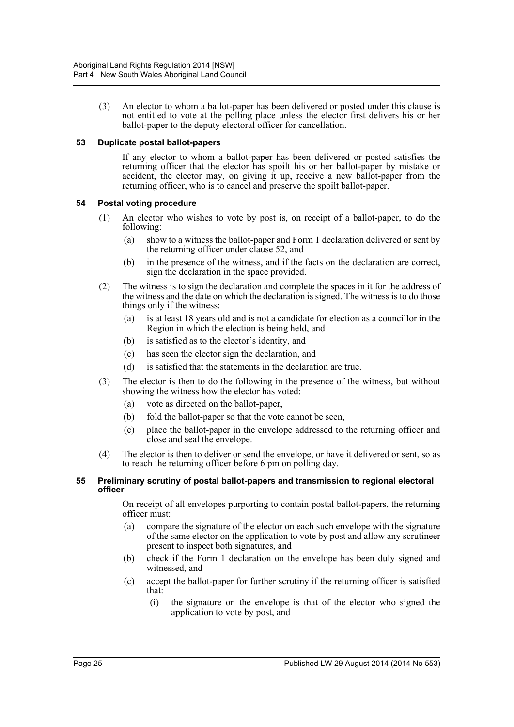(3) An elector to whom a ballot-paper has been delivered or posted under this clause is not entitled to vote at the polling place unless the elector first delivers his or her ballot-paper to the deputy electoral officer for cancellation.

#### <span id="page-24-0"></span>**53 Duplicate postal ballot-papers**

If any elector to whom a ballot-paper has been delivered or posted satisfies the returning officer that the elector has spoilt his or her ballot-paper by mistake or accident, the elector may, on giving it up, receive a new ballot-paper from the returning officer, who is to cancel and preserve the spoilt ballot-paper.

#### <span id="page-24-1"></span>**54 Postal voting procedure**

- (1) An elector who wishes to vote by post is, on receipt of a ballot-paper, to do the following:
	- (a) show to a witness the ballot-paper and Form 1 declaration delivered or sent by the returning officer under clause 52, and
	- (b) in the presence of the witness, and if the facts on the declaration are correct, sign the declaration in the space provided.
- (2) The witness is to sign the declaration and complete the spaces in it for the address of the witness and the date on which the declaration is signed. The witness is to do those things only if the witness:
	- (a) is at least 18 years old and is not a candidate for election as a councillor in the Region in which the election is being held, and
	- (b) is satisfied as to the elector's identity, and
	- (c) has seen the elector sign the declaration, and
	- (d) is satisfied that the statements in the declaration are true.
- (3) The elector is then to do the following in the presence of the witness, but without showing the witness how the elector has voted:
	- (a) vote as directed on the ballot-paper,
	- (b) fold the ballot-paper so that the vote cannot be seen,
	- (c) place the ballot-paper in the envelope addressed to the returning officer and close and seal the envelope.
- (4) The elector is then to deliver or send the envelope, or have it delivered or sent, so as to reach the returning officer before 6 pm on polling day.

#### <span id="page-24-2"></span>**55 Preliminary scrutiny of postal ballot-papers and transmission to regional electoral officer**

On receipt of all envelopes purporting to contain postal ballot-papers, the returning officer must:

- (a) compare the signature of the elector on each such envelope with the signature of the same elector on the application to vote by post and allow any scrutineer present to inspect both signatures, and
- (b) check if the Form 1 declaration on the envelope has been duly signed and witnessed, and
- (c) accept the ballot-paper for further scrutiny if the returning officer is satisfied that:
	- (i) the signature on the envelope is that of the elector who signed the application to vote by post, and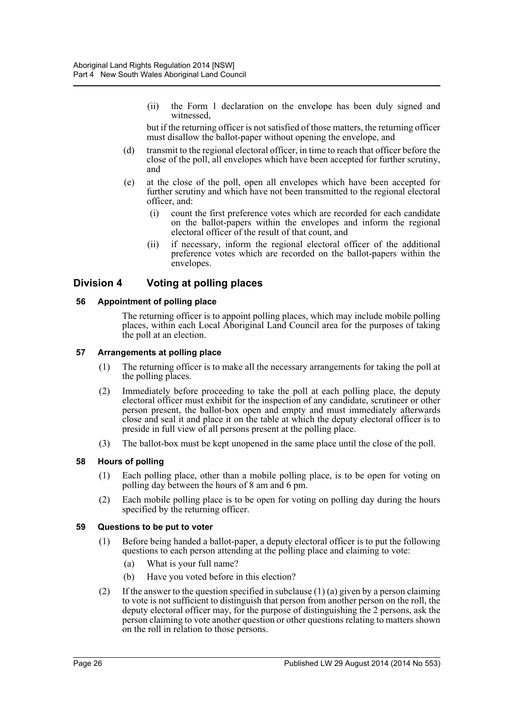(ii) the Form 1 declaration on the envelope has been duly signed and witnessed,

but if the returning officer is not satisfied of those matters, the returning officer must disallow the ballot-paper without opening the envelope, and

- (d) transmit to the regional electoral officer, in time to reach that officer before the close of the poll, all envelopes which have been accepted for further scrutiny, and
- (e) at the close of the poll, open all envelopes which have been accepted for further scrutiny and which have not been transmitted to the regional electoral officer, and:
	- (i) count the first preference votes which are recorded for each candidate on the ballot-papers within the envelopes and inform the regional electoral officer of the result of that count, and
	- (ii) if necessary, inform the regional electoral officer of the additional preference votes which are recorded on the ballot-papers within the envelopes.

# <span id="page-25-0"></span>**Division 4 Voting at polling places**

#### <span id="page-25-1"></span>**56 Appointment of polling place**

The returning officer is to appoint polling places, which may include mobile polling places, within each Local Aboriginal Land Council area for the purposes of taking the poll at an election.

#### <span id="page-25-2"></span>**57 Arrangements at polling place**

- (1) The returning officer is to make all the necessary arrangements for taking the poll at the polling places.
- (2) Immediately before proceeding to take the poll at each polling place, the deputy electoral officer must exhibit for the inspection of any candidate, scrutineer or other person present, the ballot-box open and empty and must immediately afterwards close and seal it and place it on the table at which the deputy electoral officer is to preside in full view of all persons present at the polling place.
- (3) The ballot-box must be kept unopened in the same place until the close of the poll.

# <span id="page-25-3"></span>**58 Hours of polling**

- (1) Each polling place, other than a mobile polling place, is to be open for voting on polling day between the hours of 8 am and 6 pm.
- (2) Each mobile polling place is to be open for voting on polling day during the hours specified by the returning officer.

#### <span id="page-25-4"></span>**59 Questions to be put to voter**

- (1) Before being handed a ballot-paper, a deputy electoral officer is to put the following questions to each person attending at the polling place and claiming to vote:
	- (a) What is your full name?
	- (b) Have you voted before in this election?
- (2) If the answer to the question specified in subclause (1) (a) given by a person claiming to vote is not sufficient to distinguish that person from another person on the roll, the deputy electoral officer may, for the purpose of distinguishing the 2 persons, ask the person claiming to vote another question or other questions relating to matters shown on the roll in relation to those persons.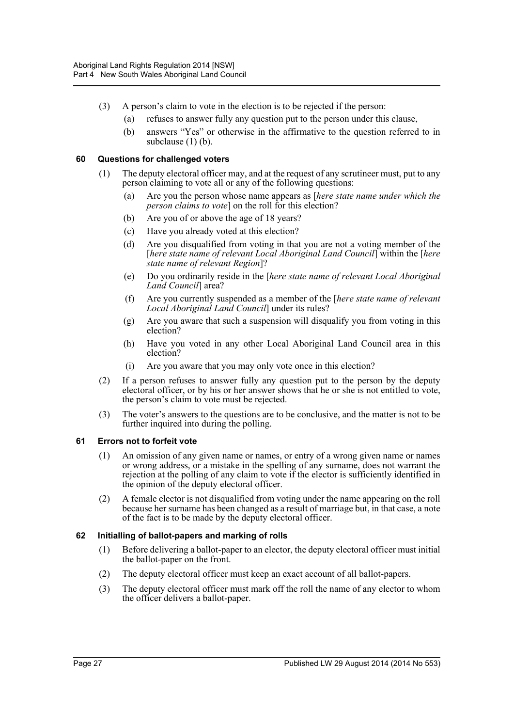- (3) A person's claim to vote in the election is to be rejected if the person:
	- (a) refuses to answer fully any question put to the person under this clause,
	- (b) answers "Yes" or otherwise in the affirmative to the question referred to in subclause (1) (b).

#### <span id="page-26-0"></span>**60 Questions for challenged voters**

- (1) The deputy electoral officer may, and at the request of any scrutineer must, put to any person claiming to vote all or any of the following questions:
	- (a) Are you the person whose name appears as [*here state name under which the person claims to vote*] on the roll for this election?
	- (b) Are you of or above the age of 18 years?
	- (c) Have you already voted at this election?
	- (d) Are you disqualified from voting in that you are not a voting member of the [*here state name of relevant Local Aboriginal Land Council*] within the [*here state name of relevant Region*]?
	- (e) Do you ordinarily reside in the [*here state name of relevant Local Aboriginal Land Council*] area?
	- (f) Are you currently suspended as a member of the [*here state name of relevant Local Aboriginal Land Council*] under its rules?
	- (g) Are you aware that such a suspension will disqualify you from voting in this election?
	- (h) Have you voted in any other Local Aboriginal Land Council area in this election?
	- (i) Are you aware that you may only vote once in this election?
- (2) If a person refuses to answer fully any question put to the person by the deputy electoral officer, or by his or her answer shows that he or she is not entitled to vote, the person's claim to vote must be rejected.
- (3) The voter's answers to the questions are to be conclusive, and the matter is not to be further inquired into during the polling.

# <span id="page-26-1"></span>**61 Errors not to forfeit vote**

- (1) An omission of any given name or names, or entry of a wrong given name or names or wrong address, or a mistake in the spelling of any surname, does not warrant the rejection at the polling of any claim to vote if the elector is sufficiently identified in the opinion of the deputy electoral officer.
- (2) A female elector is not disqualified from voting under the name appearing on the roll because her surname has been changed as a result of marriage but, in that case, a note of the fact is to be made by the deputy electoral officer.

# <span id="page-26-2"></span>**62 Initialling of ballot-papers and marking of rolls**

- (1) Before delivering a ballot-paper to an elector, the deputy electoral officer must initial the ballot-paper on the front.
- (2) The deputy electoral officer must keep an exact account of all ballot-papers.
- (3) The deputy electoral officer must mark off the roll the name of any elector to whom the officer delivers a ballot-paper.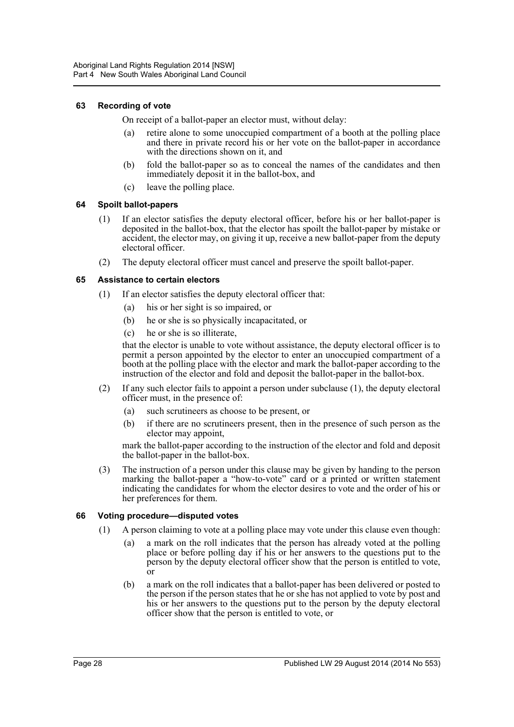#### <span id="page-27-0"></span>**63 Recording of vote**

On receipt of a ballot-paper an elector must, without delay:

- (a) retire alone to some unoccupied compartment of a booth at the polling place and there in private record his or her vote on the ballot-paper in accordance with the directions shown on it, and
- (b) fold the ballot-paper so as to conceal the names of the candidates and then immediately deposit it in the ballot-box, and
- (c) leave the polling place.

#### <span id="page-27-1"></span>**64 Spoilt ballot-papers**

- (1) If an elector satisfies the deputy electoral officer, before his or her ballot-paper is deposited in the ballot-box, that the elector has spoilt the ballot-paper by mistake or accident, the elector may, on giving it up, receive a new ballot-paper from the deputy electoral officer.
- (2) The deputy electoral officer must cancel and preserve the spoilt ballot-paper.

#### <span id="page-27-2"></span>**65 Assistance to certain electors**

- (1) If an elector satisfies the deputy electoral officer that:
	- (a) his or her sight is so impaired, or
	- (b) he or she is so physically incapacitated, or
	- (c) he or she is so illiterate,

that the elector is unable to vote without assistance, the deputy electoral officer is to permit a person appointed by the elector to enter an unoccupied compartment of a booth at the polling place with the elector and mark the ballot-paper according to the instruction of the elector and fold and deposit the ballot-paper in the ballot-box.

- (2) If any such elector fails to appoint a person under subclause (1), the deputy electoral officer must, in the presence of:
	- (a) such scrutineers as choose to be present, or
	- (b) if there are no scrutineers present, then in the presence of such person as the elector may appoint,

mark the ballot-paper according to the instruction of the elector and fold and deposit the ballot-paper in the ballot-box.

(3) The instruction of a person under this clause may be given by handing to the person marking the ballot-paper a "how-to-vote" card or a printed or written statement indicating the candidates for whom the elector desires to vote and the order of his or her preferences for them.

#### <span id="page-27-3"></span>**66 Voting procedure—disputed votes**

- (1) A person claiming to vote at a polling place may vote under this clause even though:
	- (a) a mark on the roll indicates that the person has already voted at the polling place or before polling day if his or her answers to the questions put to the person by the deputy electoral officer show that the person is entitled to vote, or
	- (b) a mark on the roll indicates that a ballot-paper has been delivered or posted to the person if the person states that he or she has not applied to vote by post and his or her answers to the questions put to the person by the deputy electoral officer show that the person is entitled to vote, or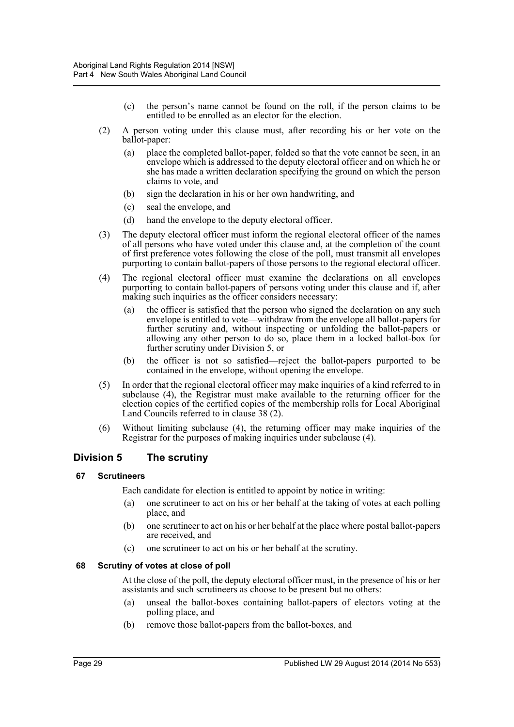- (c) the person's name cannot be found on the roll, if the person claims to be entitled to be enrolled as an elector for the election.
- (2) A person voting under this clause must, after recording his or her vote on the ballot-paper:
	- (a) place the completed ballot-paper, folded so that the vote cannot be seen, in an envelope which is addressed to the deputy electoral officer and on which he or she has made a written declaration specifying the ground on which the person claims to vote, and
	- (b) sign the declaration in his or her own handwriting, and
	- (c) seal the envelope, and
	- (d) hand the envelope to the deputy electoral officer.
- (3) The deputy electoral officer must inform the regional electoral officer of the names of all persons who have voted under this clause and, at the completion of the count of first preference votes following the close of the poll, must transmit all envelopes purporting to contain ballot-papers of those persons to the regional electoral officer.
- (4) The regional electoral officer must examine the declarations on all envelopes purporting to contain ballot-papers of persons voting under this clause and if, after making such inquiries as the officer considers necessary:
	- (a) the officer is satisfied that the person who signed the declaration on any such envelope is entitled to vote—withdraw from the envelope all ballot-papers for further scrutiny and, without inspecting or unfolding the ballot-papers or allowing any other person to do so, place them in a locked ballot-box for further scrutiny under Division 5, or
	- (b) the officer is not so satisfied—reject the ballot-papers purported to be contained in the envelope, without opening the envelope.
- (5) In order that the regional electoral officer may make inquiries of a kind referred to in subclause (4), the Registrar must make available to the returning officer for the election copies of the certified copies of the membership rolls for Local Aboriginal Land Councils referred to in clause 38 (2).
- (6) Without limiting subclause (4), the returning officer may make inquiries of the Registrar for the purposes of making inquiries under subclause (4).

# <span id="page-28-0"></span>**Division 5 The scrutiny**

# <span id="page-28-1"></span>**67 Scrutineers**

Each candidate for election is entitled to appoint by notice in writing:

- (a) one scrutineer to act on his or her behalf at the taking of votes at each polling place, and
- (b) one scrutineer to act on his or her behalf at the place where postal ballot-papers are received, and
- (c) one scrutineer to act on his or her behalf at the scrutiny.

# <span id="page-28-2"></span>**68 Scrutiny of votes at close of poll**

At the close of the poll, the deputy electoral officer must, in the presence of his or her assistants and such scrutineers as choose to be present but no others:

- (a) unseal the ballot-boxes containing ballot-papers of electors voting at the polling place, and
- (b) remove those ballot-papers from the ballot-boxes, and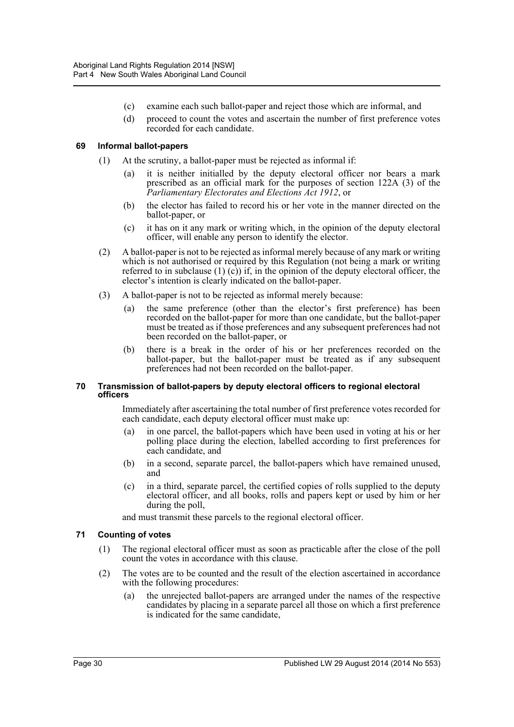- (c) examine each such ballot-paper and reject those which are informal, and
- (d) proceed to count the votes and ascertain the number of first preference votes recorded for each candidate.

#### <span id="page-29-0"></span>**69 Informal ballot-papers**

- (1) At the scrutiny, a ballot-paper must be rejected as informal if:
	- (a) it is neither initialled by the deputy electoral officer nor bears a mark prescribed as an official mark for the purposes of section 122A (3) of the *Parliamentary Electorates and Elections Act 1912*, or
	- (b) the elector has failed to record his or her vote in the manner directed on the ballot-paper, or
	- (c) it has on it any mark or writing which, in the opinion of the deputy electoral officer, will enable any person to identify the elector.
- (2) A ballot-paper is not to be rejected as informal merely because of any mark or writing which is not authorised or required by this Regulation (not being a mark or writing referred to in subclause  $(1)$   $(c)$  if, in the opinion of the deputy electoral officer, the elector's intention is clearly indicated on the ballot-paper.
- (3) A ballot-paper is not to be rejected as informal merely because:
	- (a) the same preference (other than the elector's first preference) has been recorded on the ballot-paper for more than one candidate, but the ballot-paper must be treated as if those preferences and any subsequent preferences had not been recorded on the ballot-paper, or
	- (b) there is a break in the order of his or her preferences recorded on the ballot-paper, but the ballot-paper must be treated as if any subsequent preferences had not been recorded on the ballot-paper.

#### <span id="page-29-1"></span>**70 Transmission of ballot-papers by deputy electoral officers to regional electoral officers**

Immediately after ascertaining the total number of first preference votes recorded for each candidate, each deputy electoral officer must make up:

- (a) in one parcel, the ballot-papers which have been used in voting at his or her polling place during the election, labelled according to first preferences for each candidate, and
- (b) in a second, separate parcel, the ballot-papers which have remained unused, and
- (c) in a third, separate parcel, the certified copies of rolls supplied to the deputy electoral officer, and all books, rolls and papers kept or used by him or her during the poll,

and must transmit these parcels to the regional electoral officer.

# <span id="page-29-2"></span>**71 Counting of votes**

- (1) The regional electoral officer must as soon as practicable after the close of the poll count the votes in accordance with this clause.
- (2) The votes are to be counted and the result of the election ascertained in accordance with the following procedures:
	- (a) the unrejected ballot-papers are arranged under the names of the respective candidates by placing in a separate parcel all those on which a first preference is indicated for the same candidate,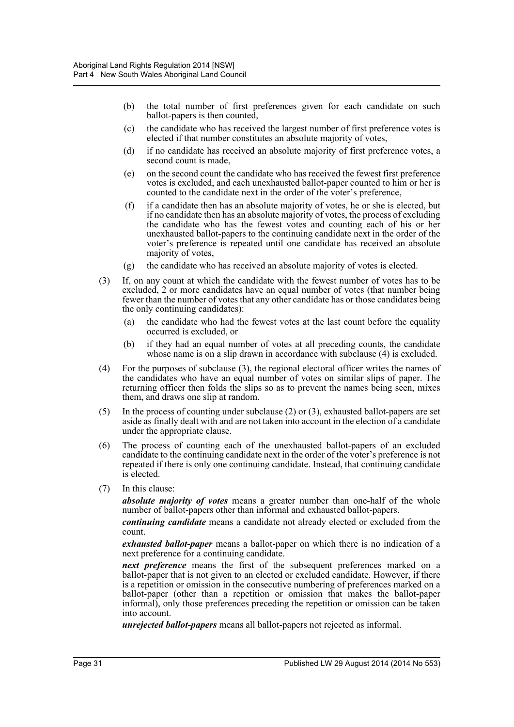- (b) the total number of first preferences given for each candidate on such ballot-papers is then counted,
- (c) the candidate who has received the largest number of first preference votes is elected if that number constitutes an absolute majority of votes,
- (d) if no candidate has received an absolute majority of first preference votes, a second count is made,
- (e) on the second count the candidate who has received the fewest first preference votes is excluded, and each unexhausted ballot-paper counted to him or her is counted to the candidate next in the order of the voter's preference,
- (f) if a candidate then has an absolute majority of votes, he or she is elected, but if no candidate then has an absolute majority of votes, the process of excluding the candidate who has the fewest votes and counting each of his or her unexhausted ballot-papers to the continuing candidate next in the order of the voter's preference is repeated until one candidate has received an absolute majority of votes,
- (g) the candidate who has received an absolute majority of votes is elected.
- (3) If, on any count at which the candidate with the fewest number of votes has to be excluded, 2 or more candidates have an equal number of votes (that number being fewer than the number of votes that any other candidate has or those candidates being the only continuing candidates):
	- (a) the candidate who had the fewest votes at the last count before the equality occurred is excluded, or
	- (b) if they had an equal number of votes at all preceding counts, the candidate whose name is on a slip drawn in accordance with subclause (4) is excluded.
- (4) For the purposes of subclause (3), the regional electoral officer writes the names of the candidates who have an equal number of votes on similar slips of paper. The returning officer then folds the slips so as to prevent the names being seen, mixes them, and draws one slip at random.
- (5) In the process of counting under subclause (2) or (3), exhausted ballot-papers are set aside as finally dealt with and are not taken into account in the election of a candidate under the appropriate clause.
- (6) The process of counting each of the unexhausted ballot-papers of an excluded candidate to the continuing candidate next in the order of the voter's preference is not repeated if there is only one continuing candidate. Instead, that continuing candidate is elected.
- (7) In this clause:

*absolute majority of votes* means a greater number than one-half of the whole number of ballot-papers other than informal and exhausted ballot-papers.

*continuing candidate* means a candidate not already elected or excluded from the count.

*exhausted ballot-paper* means a ballot-paper on which there is no indication of a next preference for a continuing candidate.

*next preference* means the first of the subsequent preferences marked on a ballot-paper that is not given to an elected or excluded candidate. However, if there is a repetition or omission in the consecutive numbering of preferences marked on a ballot-paper (other than a repetition or omission that makes the ballot-paper informal), only those preferences preceding the repetition or omission can be taken into account.

*unrejected ballot-papers* means all ballot-papers not rejected as informal.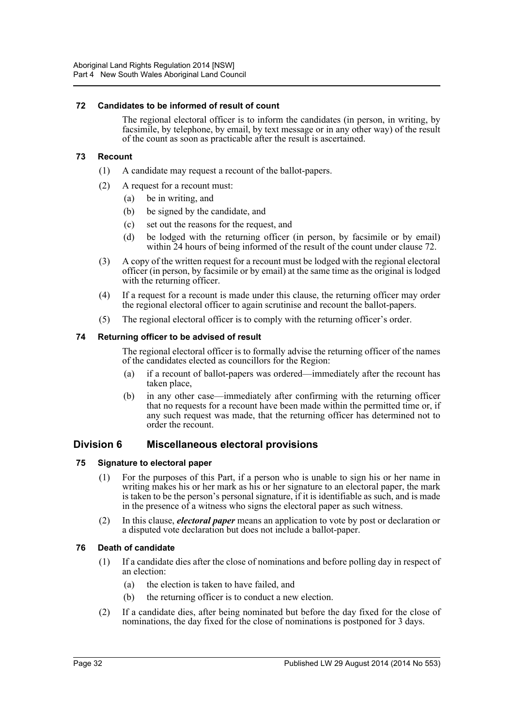#### <span id="page-31-0"></span>**72 Candidates to be informed of result of count**

The regional electoral officer is to inform the candidates (in person, in writing, by facsimile, by telephone, by email, by text message or in any other way) of the result of the count as soon as practicable after the result is ascertained.

#### <span id="page-31-1"></span>**73 Recount**

- (1) A candidate may request a recount of the ballot-papers.
- (2) A request for a recount must:
	- (a) be in writing, and
	- (b) be signed by the candidate, and
	- (c) set out the reasons for the request, and
	- (d) be lodged with the returning officer (in person, by facsimile or by email) within 24 hours of being informed of the result of the count under clause 72.
- (3) A copy of the written request for a recount must be lodged with the regional electoral officer (in person, by facsimile or by email) at the same time as the original is lodged with the returning officer.
- (4) If a request for a recount is made under this clause, the returning officer may order the regional electoral officer to again scrutinise and recount the ballot-papers.
- (5) The regional electoral officer is to comply with the returning officer's order.

#### <span id="page-31-2"></span>**74 Returning officer to be advised of result**

The regional electoral officer is to formally advise the returning officer of the names of the candidates elected as councillors for the Region:

- (a) if a recount of ballot-papers was ordered—immediately after the recount has taken place,
- (b) in any other case—immediately after confirming with the returning officer that no requests for a recount have been made within the permitted time or, if any such request was made, that the returning officer has determined not to order the recount.

# <span id="page-31-3"></span>**Division 6 Miscellaneous electoral provisions**

#### <span id="page-31-4"></span>**75 Signature to electoral paper**

- (1) For the purposes of this Part, if a person who is unable to sign his or her name in writing makes his or her mark as his or her signature to an electoral paper, the mark is taken to be the person's personal signature, if it is identifiable as such, and is made in the presence of a witness who signs the electoral paper as such witness.
- (2) In this clause, *electoral paper* means an application to vote by post or declaration or a disputed vote declaration but does not include a ballot-paper.

# <span id="page-31-5"></span>**76 Death of candidate**

- (1) If a candidate dies after the close of nominations and before polling day in respect of an election:
	- (a) the election is taken to have failed, and
	- (b) the returning officer is to conduct a new election.
- (2) If a candidate dies, after being nominated but before the day fixed for the close of nominations, the day fixed for the close of nominations is postponed for 3 days.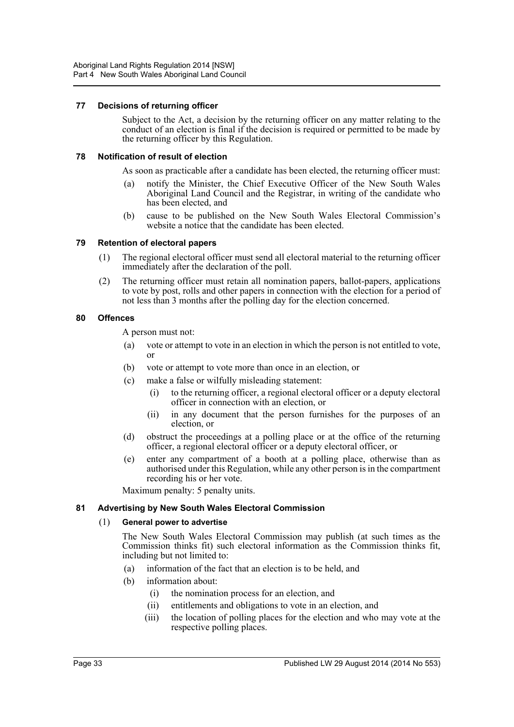#### <span id="page-32-0"></span>**77 Decisions of returning officer**

Subject to the Act, a decision by the returning officer on any matter relating to the conduct of an election is final if the decision is required or permitted to be made by the returning officer by this Regulation.

#### <span id="page-32-1"></span>**78 Notification of result of election**

As soon as practicable after a candidate has been elected, the returning officer must:

- (a) notify the Minister, the Chief Executive Officer of the New South Wales Aboriginal Land Council and the Registrar, in writing of the candidate who has been elected, and
- (b) cause to be published on the New South Wales Electoral Commission's website a notice that the candidate has been elected.

#### <span id="page-32-2"></span>**79 Retention of electoral papers**

- (1) The regional electoral officer must send all electoral material to the returning officer immediately after the declaration of the poll.
- (2) The returning officer must retain all nomination papers, ballot-papers, applications to vote by post, rolls and other papers in connection with the election for a period of not less than 3 months after the polling day for the election concerned.

#### <span id="page-32-3"></span>**80 Offences**

A person must not:

- (a) vote or attempt to vote in an election in which the person is not entitled to vote, or
- (b) vote or attempt to vote more than once in an election, or
- (c) make a false or wilfully misleading statement:
	- (i) to the returning officer, a regional electoral officer or a deputy electoral officer in connection with an election, or
	- (ii) in any document that the person furnishes for the purposes of an election, or
- (d) obstruct the proceedings at a polling place or at the office of the returning officer, a regional electoral officer or a deputy electoral officer, or
- (e) enter any compartment of a booth at a polling place, otherwise than as authorised under this Regulation, while any other person is in the compartment recording his or her vote.

Maximum penalty: 5 penalty units.

#### <span id="page-32-4"></span>**81 Advertising by New South Wales Electoral Commission**

#### (1) **General power to advertise**

The New South Wales Electoral Commission may publish (at such times as the Commission thinks fit) such electoral information as the Commission thinks fit, including but not limited to:

- (a) information of the fact that an election is to be held, and
- (b) information about:
	- (i) the nomination process for an election, and
	- (ii) entitlements and obligations to vote in an election, and
	- (iii) the location of polling places for the election and who may vote at the respective polling places.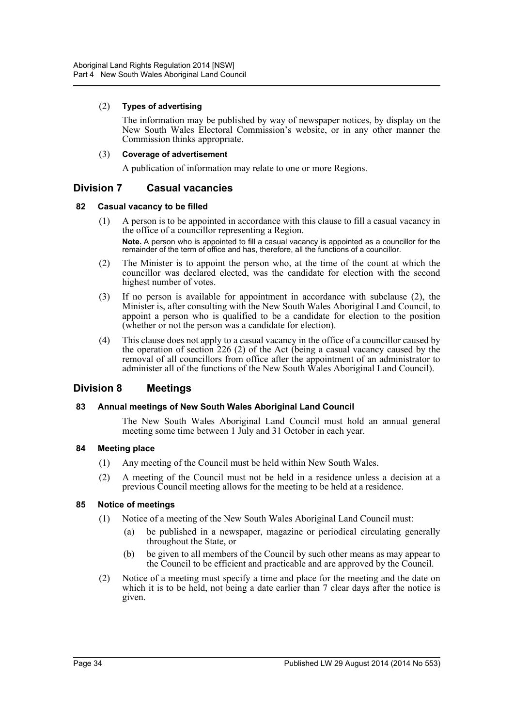#### (2) **Types of advertising**

The information may be published by way of newspaper notices, by display on the New South Wales Electoral Commission's website, or in any other manner the Commission thinks appropriate.

#### (3) **Coverage of advertisement**

A publication of information may relate to one or more Regions.

# <span id="page-33-0"></span>**Division 7 Casual vacancies**

#### <span id="page-33-1"></span>**82 Casual vacancy to be filled**

- (1) A person is to be appointed in accordance with this clause to fill a casual vacancy in the office of a councillor representing a Region. **Note.** A person who is appointed to fill a casual vacancy is appointed as a councillor for the remainder of the term of office and has, therefore, all the functions of a councillor.
- (2) The Minister is to appoint the person who, at the time of the count at which the councillor was declared elected, was the candidate for election with the second highest number of votes.
- (3) If no person is available for appointment in accordance with subclause (2), the Minister is, after consulting with the New South Wales Aboriginal Land Council, to appoint a person who is qualified to be a candidate for election to the position (whether or not the person was a candidate for election).
- (4) This clause does not apply to a casual vacancy in the office of a councillor caused by the operation of section 226 (2) of the Act (being a casual vacancy caused by the removal of all councillors from office after the appointment of an administrator to administer all of the functions of the New South Wales Aboriginal Land Council).

# <span id="page-33-2"></span>**Division 8 Meetings**

# <span id="page-33-3"></span>**83 Annual meetings of New South Wales Aboriginal Land Council**

The New South Wales Aboriginal Land Council must hold an annual general meeting some time between 1 July and 31 October in each year.

#### <span id="page-33-4"></span>**84 Meeting place**

- (1) Any meeting of the Council must be held within New South Wales.
- (2) A meeting of the Council must not be held in a residence unless a decision at a previous Council meeting allows for the meeting to be held at a residence.

#### <span id="page-33-5"></span>**85 Notice of meetings**

- (1) Notice of a meeting of the New South Wales Aboriginal Land Council must:
	- (a) be published in a newspaper, magazine or periodical circulating generally throughout the State, or
	- (b) be given to all members of the Council by such other means as may appear to the Council to be efficient and practicable and are approved by the Council.
- (2) Notice of a meeting must specify a time and place for the meeting and the date on which it is to be held, not being a date earlier than 7 clear days after the notice is given.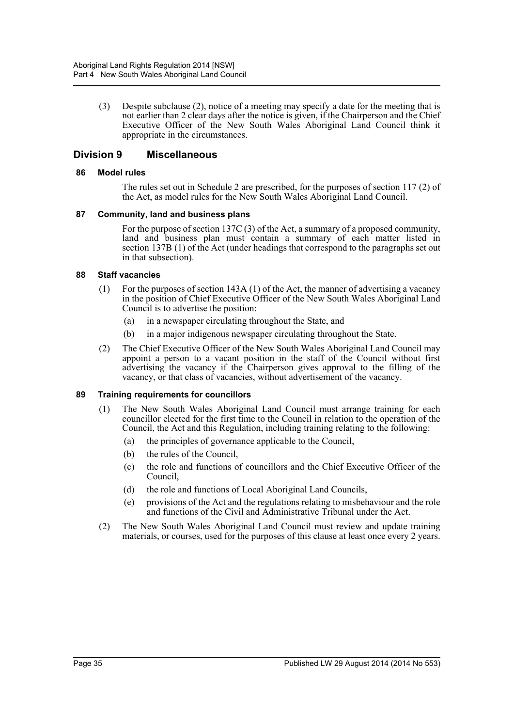(3) Despite subclause (2), notice of a meeting may specify a date for the meeting that is not earlier than 2 clear days after the notice is given, if the Chairperson and the Chief Executive Officer of the New South Wales Aboriginal Land Council think it appropriate in the circumstances.

# <span id="page-34-0"></span>**Division 9 Miscellaneous**

#### <span id="page-34-1"></span>**86 Model rules**

The rules set out in Schedule 2 are prescribed, for the purposes of section 117 (2) of the Act, as model rules for the New South Wales Aboriginal Land Council.

#### <span id="page-34-2"></span>**87 Community, land and business plans**

For the purpose of section 137C (3) of the Act, a summary of a proposed community, land and business plan must contain a summary of each matter listed in section 137B (1) of the Act (under headings that correspond to the paragraphs set out in that subsection).

#### <span id="page-34-3"></span>**88 Staff vacancies**

- (1) For the purposes of section 143A (1) of the Act, the manner of advertising a vacancy in the position of Chief Executive Officer of the New South Wales Aboriginal Land Council is to advertise the position:
	- (a) in a newspaper circulating throughout the State, and
	- (b) in a major indigenous newspaper circulating throughout the State.
- (2) The Chief Executive Officer of the New South Wales Aboriginal Land Council may appoint a person to a vacant position in the staff of the Council without first advertising the vacancy if the Chairperson gives approval to the filling of the vacancy, or that class of vacancies, without advertisement of the vacancy.

#### <span id="page-34-4"></span>**89 Training requirements for councillors**

- (1) The New South Wales Aboriginal Land Council must arrange training for each councillor elected for the first time to the Council in relation to the operation of the Council, the Act and this Regulation, including training relating to the following:
	- (a) the principles of governance applicable to the Council,
	- (b) the rules of the Council,
	- (c) the role and functions of councillors and the Chief Executive Officer of the Council,
	- (d) the role and functions of Local Aboriginal Land Councils,
	- (e) provisions of the Act and the regulations relating to misbehaviour and the role and functions of the Civil and Administrative Tribunal under the Act.
- (2) The New South Wales Aboriginal Land Council must review and update training materials, or courses, used for the purposes of this clause at least once every 2 years.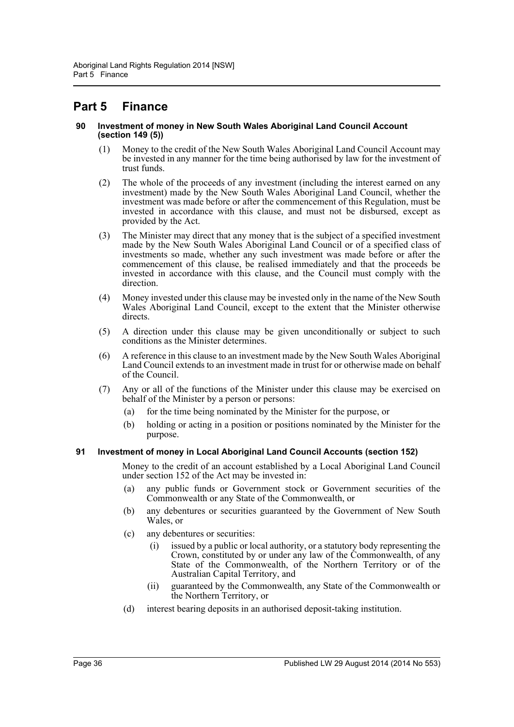# <span id="page-35-0"></span>**Part 5 Finance**

#### <span id="page-35-1"></span>**90 Investment of money in New South Wales Aboriginal Land Council Account (section 149 (5))**

- (1) Money to the credit of the New South Wales Aboriginal Land Council Account may be invested in any manner for the time being authorised by law for the investment of trust funds.
- (2) The whole of the proceeds of any investment (including the interest earned on any investment) made by the New South Wales Aboriginal Land Council, whether the investment was made before or after the commencement of this Regulation, must be invested in accordance with this clause, and must not be disbursed, except as provided by the Act.
- (3) The Minister may direct that any money that is the subject of a specified investment made by the New South Wales Aboriginal Land Council or of a specified class of investments so made, whether any such investment was made before or after the commencement of this clause, be realised immediately and that the proceeds be invested in accordance with this clause, and the Council must comply with the direction.
- (4) Money invested under this clause may be invested only in the name of the New South Wales Aboriginal Land Council, except to the extent that the Minister otherwise directs.
- (5) A direction under this clause may be given unconditionally or subject to such conditions as the Minister determines.
- (6) A reference in this clause to an investment made by the New South Wales Aboriginal Land Council extends to an investment made in trust for or otherwise made on behalf of the Council.
- (7) Any or all of the functions of the Minister under this clause may be exercised on behalf of the Minister by a person or persons:
	- (a) for the time being nominated by the Minister for the purpose, or
	- (b) holding or acting in a position or positions nominated by the Minister for the purpose.

# <span id="page-35-2"></span>**91 Investment of money in Local Aboriginal Land Council Accounts (section 152)**

Money to the credit of an account established by a Local Aboriginal Land Council under section 152 of the Act may be invested in:

- (a) any public funds or Government stock or Government securities of the Commonwealth or any State of the Commonwealth, or
- (b) any debentures or securities guaranteed by the Government of New South Wales, or
- (c) any debentures or securities:
	- (i) issued by a public or local authority, or a statutory body representing the Crown, constituted by or under any law of the Commonwealth, of any State of the Commonwealth, of the Northern Territory or of the Australian Capital Territory, and
	- (ii) guaranteed by the Commonwealth, any State of the Commonwealth or the Northern Territory, or
- (d) interest bearing deposits in an authorised deposit-taking institution.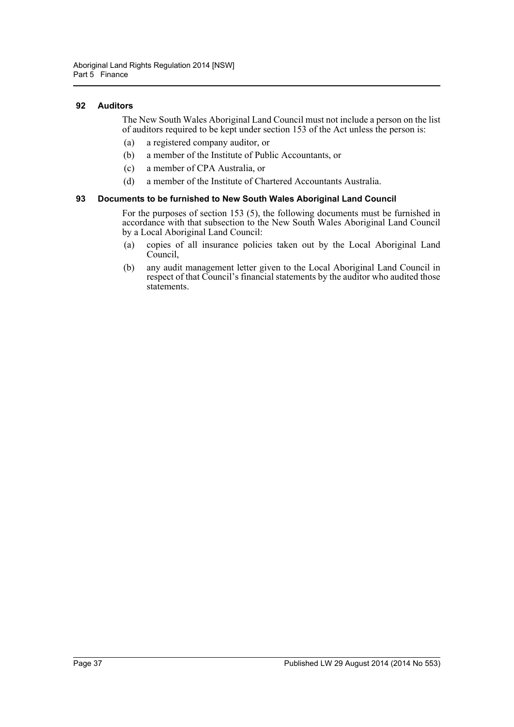#### <span id="page-36-0"></span>**92 Auditors**

The New South Wales Aboriginal Land Council must not include a person on the list of auditors required to be kept under section 153 of the Act unless the person is:

- (a) a registered company auditor, or
- (b) a member of the Institute of Public Accountants, or
- (c) a member of CPA Australia, or
- (d) a member of the Institute of Chartered Accountants Australia.

#### <span id="page-36-1"></span>**93 Documents to be furnished to New South Wales Aboriginal Land Council**

For the purposes of section 153 (5), the following documents must be furnished in accordance with that subsection to the New South Wales Aboriginal Land Council by a Local Aboriginal Land Council:

- (a) copies of all insurance policies taken out by the Local Aboriginal Land Council,
- (b) any audit management letter given to the Local Aboriginal Land Council in respect of that Council's financial statements by the auditor who audited those statements.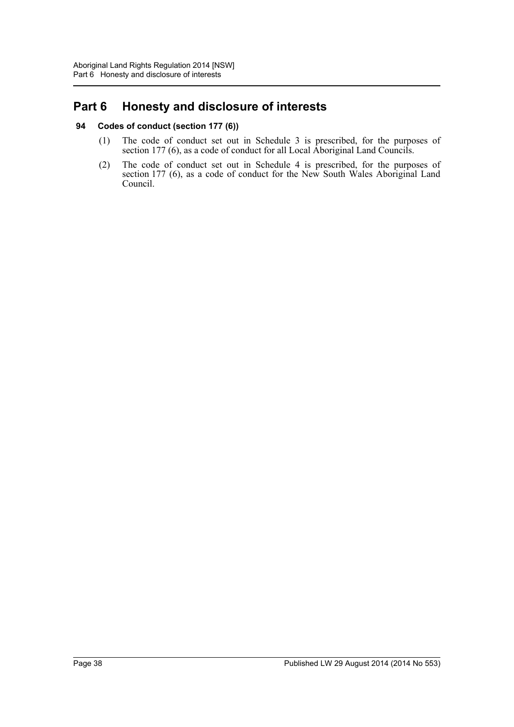# <span id="page-37-0"></span>**Part 6 Honesty and disclosure of interests**

# <span id="page-37-1"></span>**94 Codes of conduct (section 177 (6))**

- (1) The code of conduct set out in Schedule 3 is prescribed, for the purposes of section 177 (6), as a code of conduct for all Local Aboriginal Land Councils.
- (2) The code of conduct set out in Schedule 4 is prescribed, for the purposes of section 177 (6), as a code of conduct for the New South Wales Aboriginal Land Council.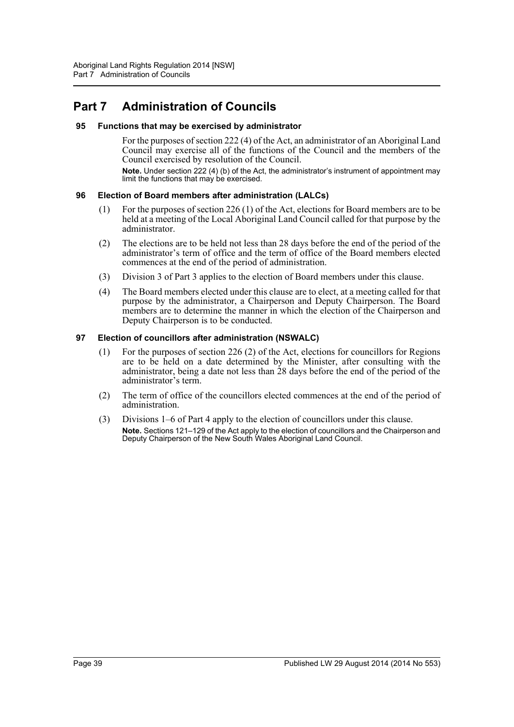# <span id="page-38-0"></span>**Part 7 Administration of Councils**

#### <span id="page-38-1"></span>**95 Functions that may be exercised by administrator**

For the purposes of section 222 (4) of the Act, an administrator of an Aboriginal Land Council may exercise all of the functions of the Council and the members of the Council exercised by resolution of the Council.

**Note.** Under section 222 (4) (b) of the Act, the administrator's instrument of appointment may limit the functions that may be exercised.

#### <span id="page-38-2"></span>**96 Election of Board members after administration (LALCs)**

- (1) For the purposes of section 226 (1) of the Act, elections for Board members are to be held at a meeting of the Local Aboriginal Land Council called for that purpose by the administrator.
- (2) The elections are to be held not less than 28 days before the end of the period of the administrator's term of office and the term of office of the Board members elected commences at the end of the period of administration.
- (3) Division 3 of Part 3 applies to the election of Board members under this clause.
- (4) The Board members elected under this clause are to elect, at a meeting called for that purpose by the administrator, a Chairperson and Deputy Chairperson. The Board members are to determine the manner in which the election of the Chairperson and Deputy Chairperson is to be conducted.

#### <span id="page-38-3"></span>**97 Election of councillors after administration (NSWALC)**

- (1) For the purposes of section 226 (2) of the Act, elections for councillors for Regions are to be held on a date determined by the Minister, after consulting with the administrator, being a date not less than 28 days before the end of the period of the administrator's term.
- (2) The term of office of the councillors elected commences at the end of the period of administration.
- (3) Divisions 1–6 of Part 4 apply to the election of councillors under this clause. **Note.** Sections 121–129 of the Act apply to the election of councillors and the Chairperson and Deputy Chairperson of the New South Wales Aboriginal Land Council.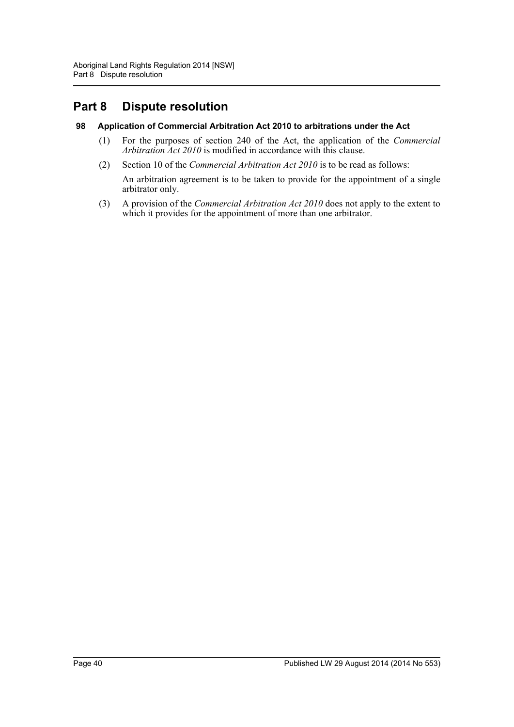# <span id="page-39-0"></span>**Part 8 Dispute resolution**

# <span id="page-39-1"></span>**98 Application of Commercial Arbitration Act 2010 to arbitrations under the Act**

- (1) For the purposes of section 240 of the Act, the application of the *Commercial Arbitration Act 2010* is modified in accordance with this clause.
- (2) Section 10 of the *Commercial Arbitration Act 2010* is to be read as follows:
	- An arbitration agreement is to be taken to provide for the appointment of a single arbitrator only.
- (3) A provision of the *Commercial Arbitration Act 2010* does not apply to the extent to which it provides for the appointment of more than one arbitrator.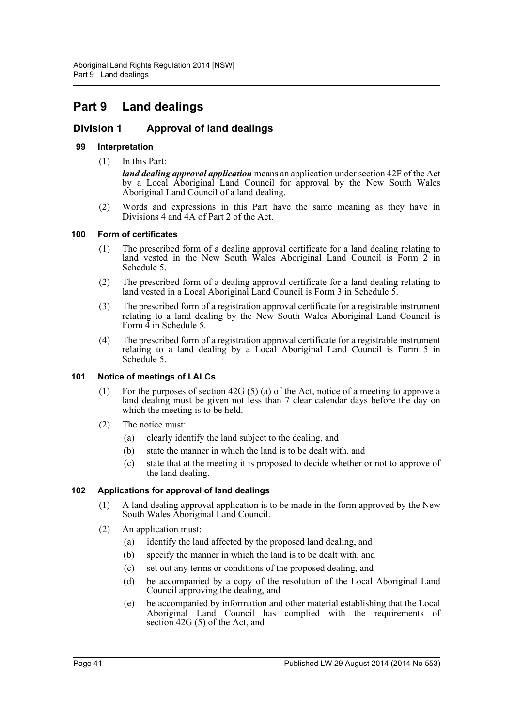# <span id="page-40-0"></span>**Part 9 Land dealings**

# <span id="page-40-1"></span>**Division 1 Approval of land dealings**

# <span id="page-40-2"></span>**99 Interpretation**

(1) In this Part:

*land dealing approval application* means an application under section 42F of the Act by a Local Aboriginal Land Council for approval by the New South Wales Aboriginal Land Council of a land dealing.

(2) Words and expressions in this Part have the same meaning as they have in Divisions 4 and 4A of Part 2 of the Act.

# <span id="page-40-3"></span>**100 Form of certificates**

- (1) The prescribed form of a dealing approval certificate for a land dealing relating to land vested in the New South Wales Aboriginal Land Council is Form  $\tilde{2}$  in Schedule 5.
- (2) The prescribed form of a dealing approval certificate for a land dealing relating to land vested in a Local Aboriginal Land Council is Form 3 in Schedule 5.
- (3) The prescribed form of a registration approval certificate for a registrable instrument relating to a land dealing by the New South Wales Aboriginal Land Council is Form  $\frac{3}{4}$  in Schedule 5.
- (4) The prescribed form of a registration approval certificate for a registrable instrument relating to a land dealing by a Local Aboriginal Land Council is Form 5 in Schedule 5.

# <span id="page-40-4"></span>**101 Notice of meetings of LALCs**

- (1) For the purposes of section 42G (5) (a) of the Act, notice of a meeting to approve a land dealing must be given not less than 7 clear calendar days before the day on which the meeting is to be held.
- (2) The notice must:
	- (a) clearly identify the land subject to the dealing, and
	- (b) state the manner in which the land is to be dealt with, and
	- (c) state that at the meeting it is proposed to decide whether or not to approve of the land dealing.

# <span id="page-40-5"></span>**102 Applications for approval of land dealings**

- (1) A land dealing approval application is to be made in the form approved by the New South Wales Aboriginal Land Council.
- (2) An application must:
	- (a) identify the land affected by the proposed land dealing, and
	- (b) specify the manner in which the land is to be dealt with, and
	- (c) set out any terms or conditions of the proposed dealing, and
	- (d) be accompanied by a copy of the resolution of the Local Aboriginal Land Council approving the dealing, and
	- (e) be accompanied by information and other material establishing that the Local Aboriginal Land Council has complied with the requirements of section 42G (5) of the Act, and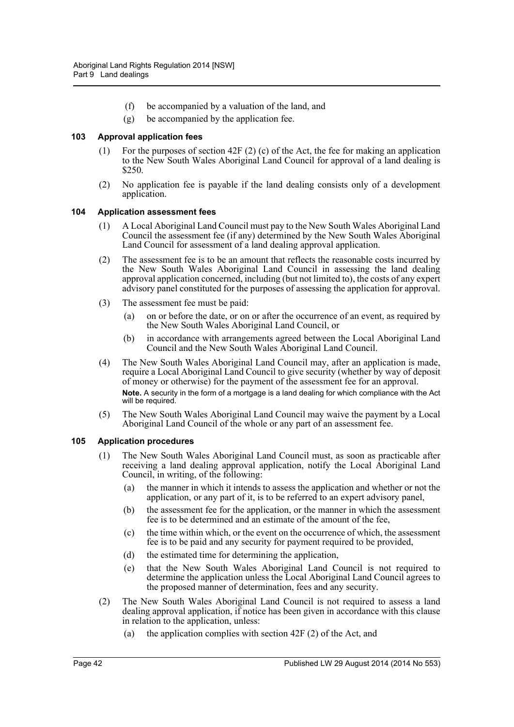- (f) be accompanied by a valuation of the land, and
- (g) be accompanied by the application fee.

#### <span id="page-41-0"></span>**103 Approval application fees**

- (1) For the purposes of section 42F (2) (c) of the Act, the fee for making an application to the New South Wales Aboriginal Land Council for approval of a land dealing is \$250.
- (2) No application fee is payable if the land dealing consists only of a development application.

#### <span id="page-41-1"></span>**104 Application assessment fees**

- (1) A Local Aboriginal Land Council must pay to the New South Wales Aboriginal Land Council the assessment fee (if any) determined by the New South Wales Aboriginal Land Council for assessment of a land dealing approval application.
- (2) The assessment fee is to be an amount that reflects the reasonable costs incurred by the New South Wales Aboriginal Land Council in assessing the land dealing approval application concerned, including (but not limited to), the costs of any expert advisory panel constituted for the purposes of assessing the application for approval.
- (3) The assessment fee must be paid:
	- (a) on or before the date, or on or after the occurrence of an event, as required by the New South Wales Aboriginal Land Council, or
	- (b) in accordance with arrangements agreed between the Local Aboriginal Land Council and the New South Wales Aboriginal Land Council.
- (4) The New South Wales Aboriginal Land Council may, after an application is made, require a Local Aboriginal Land Council to give security (whether by way of deposit of money or otherwise) for the payment of the assessment fee for an approval. **Note.** A security in the form of a mortgage is a land dealing for which compliance with the Act will be required.
- (5) The New South Wales Aboriginal Land Council may waive the payment by a Local Aboriginal Land Council of the whole or any part of an assessment fee.

#### <span id="page-41-2"></span>**105 Application procedures**

- (1) The New South Wales Aboriginal Land Council must, as soon as practicable after receiving a land dealing approval application, notify the Local Aboriginal Land Council, in writing, of the following:
	- (a) the manner in which it intends to assess the application and whether or not the application, or any part of it, is to be referred to an expert advisory panel,
	- (b) the assessment fee for the application, or the manner in which the assessment fee is to be determined and an estimate of the amount of the fee,
	- (c) the time within which, or the event on the occurrence of which, the assessment fee is to be paid and any security for payment required to be provided,
	- (d) the estimated time for determining the application,
	- (e) that the New South Wales Aboriginal Land Council is not required to determine the application unless the Local Aboriginal Land Council agrees to the proposed manner of determination, fees and any security.
- (2) The New South Wales Aboriginal Land Council is not required to assess a land dealing approval application, if notice has been given in accordance with this clause in relation to the application, unless:
	- (a) the application complies with section 42F (2) of the Act, and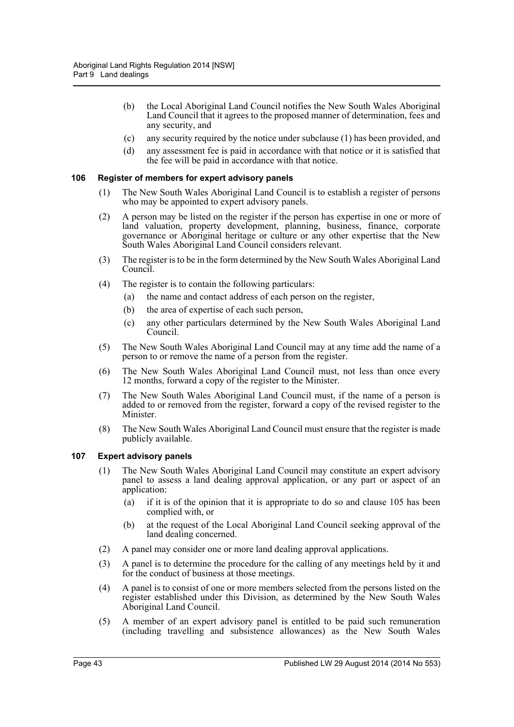- (b) the Local Aboriginal Land Council notifies the New South Wales Aboriginal Land Council that it agrees to the proposed manner of determination, fees and any security, and
- (c) any security required by the notice under subclause (1) has been provided, and
- (d) any assessment fee is paid in accordance with that notice or it is satisfied that the fee will be paid in accordance with that notice.

#### <span id="page-42-0"></span>**106 Register of members for expert advisory panels**

- (1) The New South Wales Aboriginal Land Council is to establish a register of persons who may be appointed to expert advisory panels.
- (2) A person may be listed on the register if the person has expertise in one or more of land valuation, property development, planning, business, finance, corporate governance or Aboriginal heritage or culture or any other expertise that the New South Wales Aboriginal Land Council considers relevant.
- (3) The register is to be in the form determined by the New South Wales Aboriginal Land Council.
- (4) The register is to contain the following particulars:
	- (a) the name and contact address of each person on the register,
	- (b) the area of expertise of each such person,
	- (c) any other particulars determined by the New South Wales Aboriginal Land Council.
- (5) The New South Wales Aboriginal Land Council may at any time add the name of a person to or remove the name of a person from the register.
- (6) The New South Wales Aboriginal Land Council must, not less than once every 12 months, forward a copy of the register to the Minister.
- (7) The New South Wales Aboriginal Land Council must, if the name of a person is added to or removed from the register, forward a copy of the revised register to the Minister.
- (8) The New South Wales Aboriginal Land Council must ensure that the register is made publicly available.

#### <span id="page-42-1"></span>**107 Expert advisory panels**

- (1) The New South Wales Aboriginal Land Council may constitute an expert advisory panel to assess a land dealing approval application, or any part or aspect of an application:
	- (a) if it is of the opinion that it is appropriate to do so and clause 105 has been complied with, or
	- (b) at the request of the Local Aboriginal Land Council seeking approval of the land dealing concerned.
- (2) A panel may consider one or more land dealing approval applications.
- (3) A panel is to determine the procedure for the calling of any meetings held by it and for the conduct of business at those meetings.
- (4) A panel is to consist of one or more members selected from the persons listed on the register established under this Division, as determined by the New South Wales Aboriginal Land Council.
- (5) A member of an expert advisory panel is entitled to be paid such remuneration (including travelling and subsistence allowances) as the New South Wales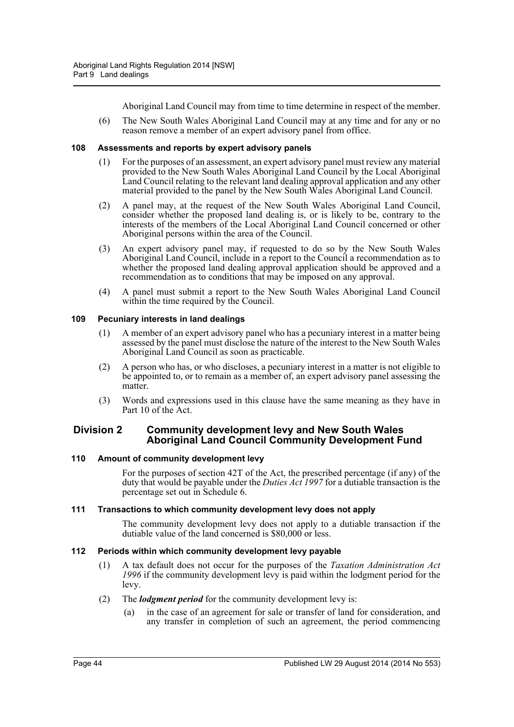Aboriginal Land Council may from time to time determine in respect of the member.

(6) The New South Wales Aboriginal Land Council may at any time and for any or no reason remove a member of an expert advisory panel from office.

#### <span id="page-43-0"></span>**108 Assessments and reports by expert advisory panels**

- (1) For the purposes of an assessment, an expert advisory panel must review any material provided to the New South Wales Aboriginal Land Council by the Local Aboriginal Land Council relating to the relevant land dealing approval application and any other material provided to the panel by the New South Wales Aboriginal Land Council.
- (2) A panel may, at the request of the New South Wales Aboriginal Land Council, consider whether the proposed land dealing is, or is likely to be, contrary to the interests of the members of the Local Aboriginal Land Council concerned or other Aboriginal persons within the area of the Council.
- (3) An expert advisory panel may, if requested to do so by the New South Wales Aboriginal Land Council, include in a report to the Council a recommendation as to whether the proposed land dealing approval application should be approved and a recommendation as to conditions that may be imposed on any approval.
- (4) A panel must submit a report to the New South Wales Aboriginal Land Council within the time required by the Council.

#### <span id="page-43-1"></span>**109 Pecuniary interests in land dealings**

- (1) A member of an expert advisory panel who has a pecuniary interest in a matter being assessed by the panel must disclose the nature of the interest to the New South Wales Aboriginal Land Council as soon as practicable.
- (2) A person who has, or who discloses, a pecuniary interest in a matter is not eligible to be appointed to, or to remain as a member of, an expert advisory panel assessing the matter
- (3) Words and expressions used in this clause have the same meaning as they have in Part 10 of the Act.

# <span id="page-43-2"></span>**Division 2 Community development levy and New South Wales Aboriginal Land Council Community Development Fund**

# <span id="page-43-3"></span>**110 Amount of community development levy**

For the purposes of section 42T of the Act, the prescribed percentage (if any) of the duty that would be payable under the *Duties Act 1997* for a dutiable transaction is the percentage set out in Schedule 6.

#### <span id="page-43-4"></span>**111 Transactions to which community development levy does not apply**

The community development levy does not apply to a dutiable transaction if the dutiable value of the land concerned is \$80,000 or less.

# <span id="page-43-5"></span>**112 Periods within which community development levy payable**

(1) A tax default does not occur for the purposes of the *Taxation Administration Act 1996* if the community development levy is paid within the lodgment period for the levy.

# (2) The *lodgment period* for the community development levy is:

(a) in the case of an agreement for sale or transfer of land for consideration, and any transfer in completion of such an agreement, the period commencing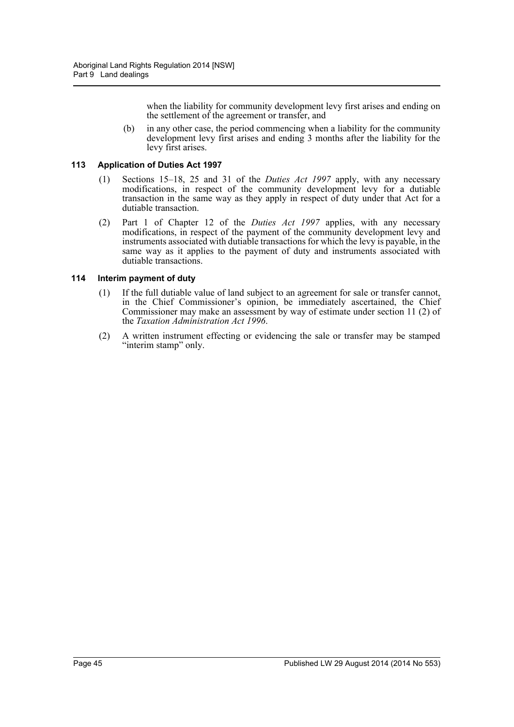when the liability for community development levy first arises and ending on the settlement of the agreement or transfer, and

(b) in any other case, the period commencing when a liability for the community development levy first arises and ending 3 months after the liability for the levy first arises.

#### <span id="page-44-0"></span>**113 Application of Duties Act 1997**

- (1) Sections 15–18, 25 and 31 of the *Duties Act 1997* apply, with any necessary modifications, in respect of the community development levy for a dutiable transaction in the same way as they apply in respect of duty under that Act for a dutiable transaction.
- (2) Part 1 of Chapter 12 of the *Duties Act 1997* applies, with any necessary modifications, in respect of the payment of the community development levy and instruments associated with dutiable transactions for which the levy is payable, in the same way as it applies to the payment of duty and instruments associated with dutiable transactions.

#### <span id="page-44-1"></span>**114 Interim payment of duty**

- (1) If the full dutiable value of land subject to an agreement for sale or transfer cannot, in the Chief Commissioner's opinion, be immediately ascertained, the Chief Commissioner may make an assessment by way of estimate under section 11 (2) of the *Taxation Administration Act 1996*.
- (2) A written instrument effecting or evidencing the sale or transfer may be stamped "interim stamp" only.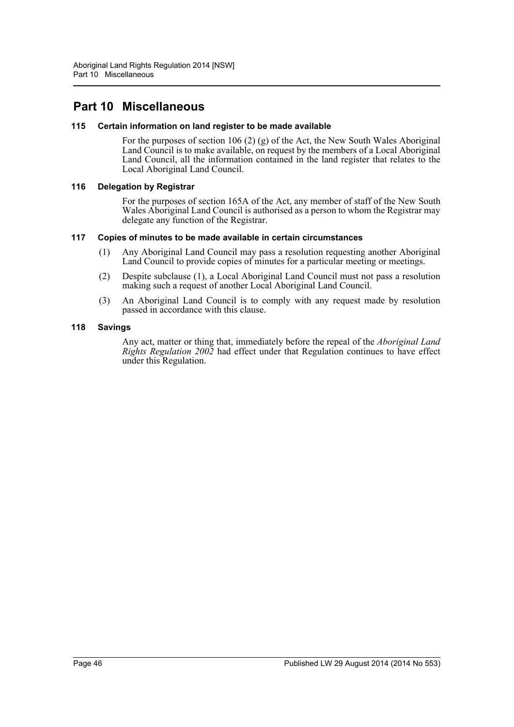# <span id="page-45-0"></span>**Part 10 Miscellaneous**

#### <span id="page-45-1"></span>**115 Certain information on land register to be made available**

For the purposes of section 106 (2) (g) of the Act, the New South Wales Aboriginal Land Council is to make available, on request by the members of a Local Aboriginal Land Council, all the information contained in the land register that relates to the Local Aboriginal Land Council.

#### <span id="page-45-2"></span>**116 Delegation by Registrar**

For the purposes of section 165A of the Act, any member of staff of the New South Wales Aboriginal Land Council is authorised as a person to whom the Registrar may delegate any function of the Registrar.

#### <span id="page-45-3"></span>**117 Copies of minutes to be made available in certain circumstances**

- (1) Any Aboriginal Land Council may pass a resolution requesting another Aboriginal Land Council to provide copies of minutes for a particular meeting or meetings.
- (2) Despite subclause (1), a Local Aboriginal Land Council must not pass a resolution making such a request of another Local Aboriginal Land Council.
- (3) An Aboriginal Land Council is to comply with any request made by resolution passed in accordance with this clause.

#### <span id="page-45-4"></span>**118 Savings**

Any act, matter or thing that, immediately before the repeal of the *Aboriginal Land Rights Regulation 2002* had effect under that Regulation continues to have effect under this Regulation.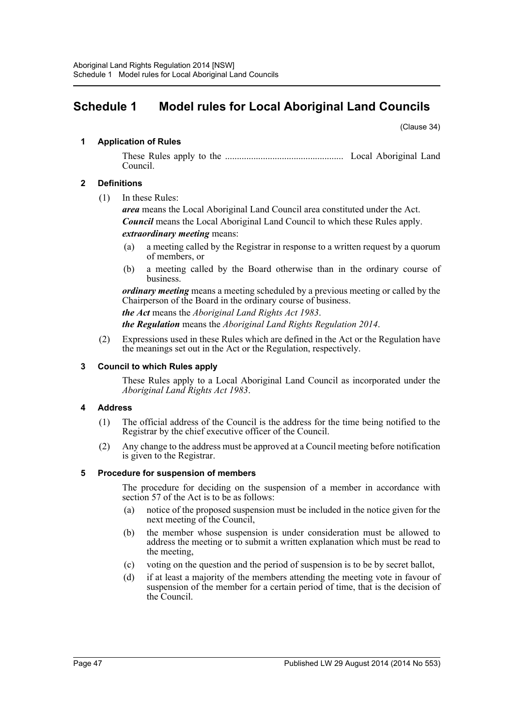# <span id="page-46-0"></span>**Schedule 1 Model rules for Local Aboriginal Land Councils**

(Clause 34)

# **1 Application of Rules**

These Rules apply to the .................................................. Local Aboriginal Land Council.

# **2 Definitions**

(1) In these Rules:

*area* means the Local Aboriginal Land Council area constituted under the Act. *Council* means the Local Aboriginal Land Council to which these Rules apply. *extraordinary meeting* means:

- (a) a meeting called by the Registrar in response to a written request by a quorum of members, or
- (b) a meeting called by the Board otherwise than in the ordinary course of business.

*ordinary meeting* means a meeting scheduled by a previous meeting or called by the Chairperson of the Board in the ordinary course of business.

*the Act* means the *Aboriginal Land Rights Act 1983*.

*the Regulation* means the *Aboriginal Land Rights Regulation 2014*.

(2) Expressions used in these Rules which are defined in the Act or the Regulation have the meanings set out in the Act or the Regulation, respectively.

# **3 Council to which Rules apply**

These Rules apply to a Local Aboriginal Land Council as incorporated under the *Aboriginal Land Rights Act 1983*.

# **4 Address**

- (1) The official address of the Council is the address for the time being notified to the Registrar by the chief executive officer of the Council.
- (2) Any change to the address must be approved at a Council meeting before notification is given to the Registrar.

# **5 Procedure for suspension of members**

The procedure for deciding on the suspension of a member in accordance with section 57 of the Act is to be as follows:

- (a) notice of the proposed suspension must be included in the notice given for the next meeting of the Council,
- (b) the member whose suspension is under consideration must be allowed to address the meeting or to submit a written explanation which must be read to the meeting,
- (c) voting on the question and the period of suspension is to be by secret ballot,
- (d) if at least a majority of the members attending the meeting vote in favour of suspension of the member for a certain period of time, that is the decision of the Council.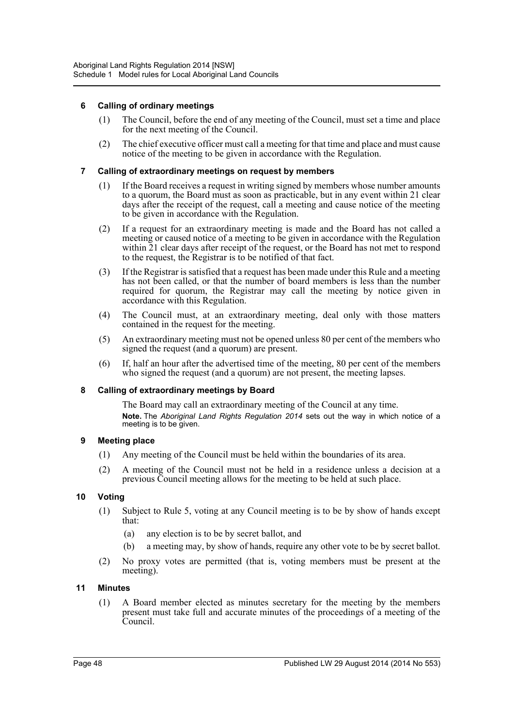# **6 Calling of ordinary meetings**

- (1) The Council, before the end of any meeting of the Council, must set a time and place for the next meeting of the Council.
- (2) The chief executive officer must call a meeting for that time and place and must cause notice of the meeting to be given in accordance with the Regulation.

#### **7 Calling of extraordinary meetings on request by members**

- (1) If the Board receives a request in writing signed by members whose number amounts to a quorum, the Board must as soon as practicable, but in any event within 21 clear days after the receipt of the request, call a meeting and cause notice of the meeting to be given in accordance with the Regulation.
- (2) If a request for an extraordinary meeting is made and the Board has not called a meeting or caused notice of a meeting to be given in accordance with the Regulation within 21 clear days after receipt of the request, or the Board has not met to respond to the request, the Registrar is to be notified of that fact.
- (3) If the Registrar is satisfied that a request has been made under this Rule and a meeting has not been called, or that the number of board members is less than the number required for quorum, the Registrar may call the meeting by notice given in accordance with this Regulation.
- (4) The Council must, at an extraordinary meeting, deal only with those matters contained in the request for the meeting.
- (5) An extraordinary meeting must not be opened unless 80 per cent of the members who signed the request (and a quorum) are present.
- (6) If, half an hour after the advertised time of the meeting, 80 per cent of the members who signed the request (and a quorum) are not present, the meeting lapses.

#### **8 Calling of extraordinary meetings by Board**

The Board may call an extraordinary meeting of the Council at any time. **Note.** The *Aboriginal Land Rights Regulation 2014* sets out the way in which notice of a meeting is to be given.

#### **9 Meeting place**

- (1) Any meeting of the Council must be held within the boundaries of its area.
- (2) A meeting of the Council must not be held in a residence unless a decision at a previous Council meeting allows for the meeting to be held at such place.

# **10 Voting**

- (1) Subject to Rule 5, voting at any Council meeting is to be by show of hands except that:
	- (a) any election is to be by secret ballot, and
	- (b) a meeting may, by show of hands, require any other vote to be by secret ballot.
- (2) No proxy votes are permitted (that is, voting members must be present at the meeting).

#### **11 Minutes**

(1) A Board member elected as minutes secretary for the meeting by the members present must take full and accurate minutes of the proceedings of a meeting of the Council.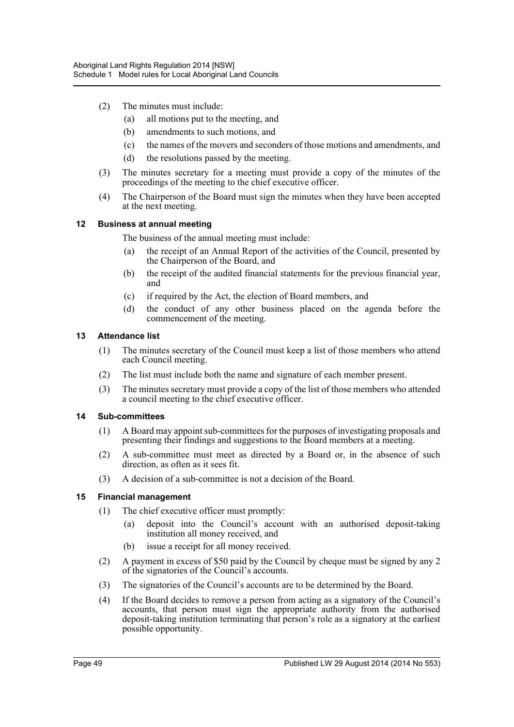- (2) The minutes must include:
	- (a) all motions put to the meeting, and
	- (b) amendments to such motions, and
	- (c) the names of the movers and seconders of those motions and amendments, and
	- (d) the resolutions passed by the meeting.
- (3) The minutes secretary for a meeting must provide a copy of the minutes of the proceedings of the meeting to the chief executive officer.
- (4) The Chairperson of the Board must sign the minutes when they have been accepted at the next meeting.

#### **12 Business at annual meeting**

The business of the annual meeting must include:

- (a) the receipt of an Annual Report of the activities of the Council, presented by the Chairperson of the Board, and
- (b) the receipt of the audited financial statements for the previous financial year, and
- (c) if required by the Act, the election of Board members, and
- (d) the conduct of any other business placed on the agenda before the commencement of the meeting.

# **13 Attendance list**

- (1) The minutes secretary of the Council must keep a list of those members who attend each Council meeting.
- (2) The list must include both the name and signature of each member present.
- (3) The minutes secretary must provide a copy of the list of those members who attended a council meeting to the chief executive officer.

#### **14 Sub-committees**

- (1) A Board may appoint sub-committees for the purposes of investigating proposals and presenting their findings and suggestions to the Board members at a meeting.
- (2) A sub-committee must meet as directed by a Board or, in the absence of such direction, as often as it sees fit.
- (3) A decision of a sub-committee is not a decision of the Board.

# **15 Financial management**

- (1) The chief executive officer must promptly:
	- (a) deposit into the Council's account with an authorised deposit-taking institution all money received, and
	- (b) issue a receipt for all money received.
- (2) A payment in excess of \$50 paid by the Council by cheque must be signed by any 2 of the signatories of the Council's accounts.
- (3) The signatories of the Council's accounts are to be determined by the Board.
- (4) If the Board decides to remove a person from acting as a signatory of the Council's accounts, that person must sign the appropriate authority from the authorised deposit-taking institution terminating that person's role as a signatory at the earliest possible opportunity.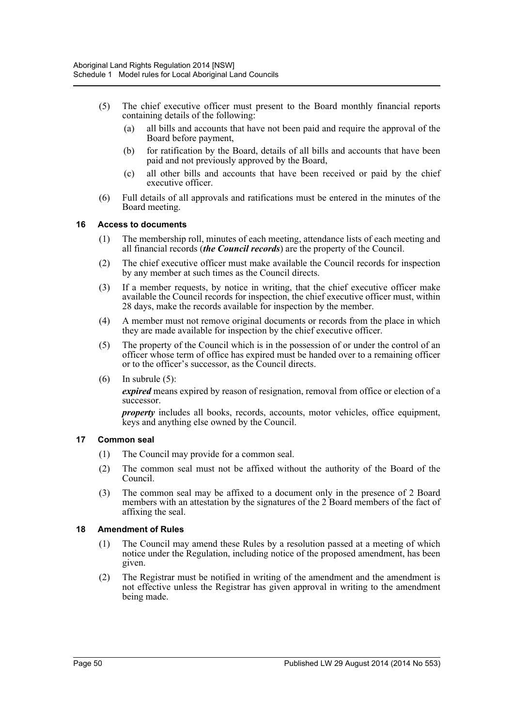- (5) The chief executive officer must present to the Board monthly financial reports containing details of the following:
	- (a) all bills and accounts that have not been paid and require the approval of the Board before payment,
	- (b) for ratification by the Board, details of all bills and accounts that have been paid and not previously approved by the Board,
	- (c) all other bills and accounts that have been received or paid by the chief executive officer.
- (6) Full details of all approvals and ratifications must be entered in the minutes of the Board meeting.

#### **16 Access to documents**

- (1) The membership roll, minutes of each meeting, attendance lists of each meeting and all financial records (*the Council records*) are the property of the Council.
- (2) The chief executive officer must make available the Council records for inspection by any member at such times as the Council directs.
- (3) If a member requests, by notice in writing, that the chief executive officer make available the Council records for inspection, the chief executive officer must, within 28 days, make the records available for inspection by the member.
- (4) A member must not remove original documents or records from the place in which they are made available for inspection by the chief executive officer.
- (5) The property of the Council which is in the possession of or under the control of an officer whose term of office has expired must be handed over to a remaining officer or to the officer's successor, as the Council directs.
- $(6)$  In subrule  $(5)$ :

*expired* means expired by reason of resignation, removal from office or election of a successor.

*property* includes all books, records, accounts, motor vehicles, office equipment, keys and anything else owned by the Council.

#### **17 Common seal**

- (1) The Council may provide for a common seal.
- (2) The common seal must not be affixed without the authority of the Board of the Council.
- (3) The common seal may be affixed to a document only in the presence of 2 Board members with an attestation by the signatures of the 2 Board members of the fact of affixing the seal.

#### **18 Amendment of Rules**

- (1) The Council may amend these Rules by a resolution passed at a meeting of which notice under the Regulation, including notice of the proposed amendment, has been given.
- (2) The Registrar must be notified in writing of the amendment and the amendment is not effective unless the Registrar has given approval in writing to the amendment being made.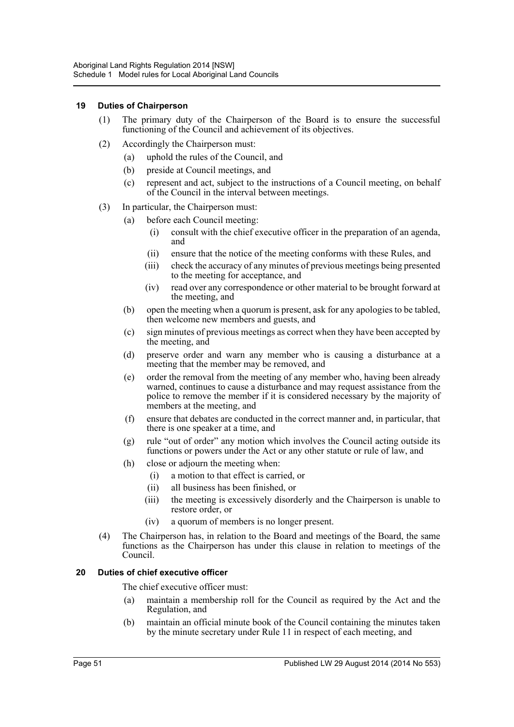#### **19 Duties of Chairperson**

- (1) The primary duty of the Chairperson of the Board is to ensure the successful functioning of the Council and achievement of its objectives.
- (2) Accordingly the Chairperson must:
	- (a) uphold the rules of the Council, and
	- (b) preside at Council meetings, and
	- (c) represent and act, subject to the instructions of a Council meeting, on behalf of the Council in the interval between meetings.
- (3) In particular, the Chairperson must:
	- (a) before each Council meeting:
		- (i) consult with the chief executive officer in the preparation of an agenda, and
		- (ii) ensure that the notice of the meeting conforms with these Rules, and
		- (iii) check the accuracy of any minutes of previous meetings being presented to the meeting for acceptance, and
		- (iv) read over any correspondence or other material to be brought forward at the meeting, and
	- (b) open the meeting when a quorum is present, ask for any apologies to be tabled, then welcome new members and guests, and
	- (c) sign minutes of previous meetings as correct when they have been accepted by the meeting, and
	- (d) preserve order and warn any member who is causing a disturbance at a meeting that the member may be removed, and
	- (e) order the removal from the meeting of any member who, having been already warned, continues to cause a disturbance and may request assistance from the police to remove the member if it is considered necessary by the majority of members at the meeting, and
	- (f) ensure that debates are conducted in the correct manner and, in particular, that there is one speaker at a time, and
	- (g) rule "out of order" any motion which involves the Council acting outside its functions or powers under the Act or any other statute or rule of law, and
	- (h) close or adjourn the meeting when:
		- (i) a motion to that effect is carried, or
		- (ii) all business has been finished, or
		- (iii) the meeting is excessively disorderly and the Chairperson is unable to restore order, or
		- (iv) a quorum of members is no longer present.
- (4) The Chairperson has, in relation to the Board and meetings of the Board, the same functions as the Chairperson has under this clause in relation to meetings of the Council.

# **20 Duties of chief executive officer**

The chief executive officer must:

- (a) maintain a membership roll for the Council as required by the Act and the Regulation, and
- (b) maintain an official minute book of the Council containing the minutes taken by the minute secretary under Rule 11 in respect of each meeting, and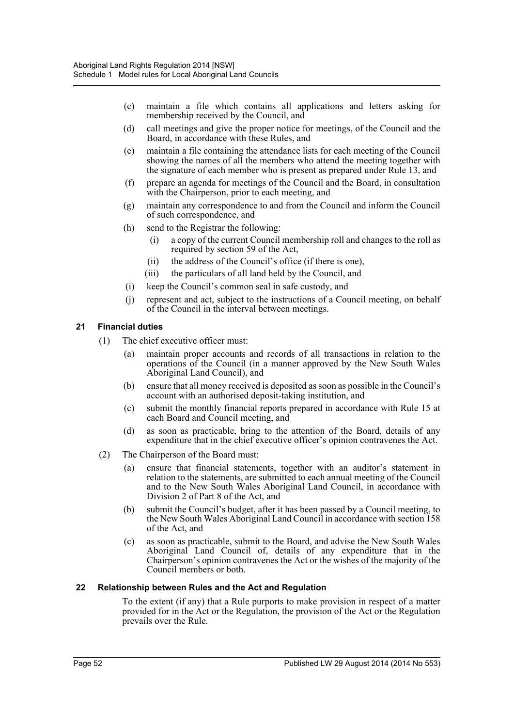- (c) maintain a file which contains all applications and letters asking for membership received by the Council, and
- (d) call meetings and give the proper notice for meetings, of the Council and the Board, in accordance with these Rules, and
- (e) maintain a file containing the attendance lists for each meeting of the Council showing the names of all the members who attend the meeting together with the signature of each member who is present as prepared under Rule 13, and
- (f) prepare an agenda for meetings of the Council and the Board, in consultation with the Chairperson, prior to each meeting, and
- (g) maintain any correspondence to and from the Council and inform the Council of such correspondence, and
- (h) send to the Registrar the following:
	- (i) a copy of the current Council membership roll and changes to the roll as required by section 59 of the Act,
	- (ii) the address of the Council's office (if there is one),
	- (iii) the particulars of all land held by the Council, and
- (i) keep the Council's common seal in safe custody, and
- (j) represent and act, subject to the instructions of a Council meeting, on behalf of the Council in the interval between meetings.

#### **21 Financial duties**

- (1) The chief executive officer must:
	- (a) maintain proper accounts and records of all transactions in relation to the operations of the Council (in a manner approved by the New South Wales Aboriginal Land Council), and
	- (b) ensure that all money received is deposited as soon as possible in the Council's account with an authorised deposit-taking institution, and
	- (c) submit the monthly financial reports prepared in accordance with Rule 15 at each Board and Council meeting, and
	- (d) as soon as practicable, bring to the attention of the Board, details of any expenditure that in the chief executive officer's opinion contravenes the Act.
- (2) The Chairperson of the Board must:
	- (a) ensure that financial statements, together with an auditor's statement in relation to the statements, are submitted to each annual meeting of the Council and to the New South Wales Aboriginal Land Council, in accordance with Division 2 of Part 8 of the Act, and
	- (b) submit the Council's budget, after it has been passed by a Council meeting, to the New South Wales Aboriginal Land Council in accordance with section 158 of the Act, and
	- (c) as soon as practicable, submit to the Board, and advise the New South Wales Aboriginal Land Council of, details of any expenditure that in the Chairperson's opinion contravenes the Act or the wishes of the majority of the Council members or both.

#### **22 Relationship between Rules and the Act and Regulation**

To the extent (if any) that a Rule purports to make provision in respect of a matter provided for in the Act or the Regulation, the provision of the Act or the Regulation prevails over the Rule.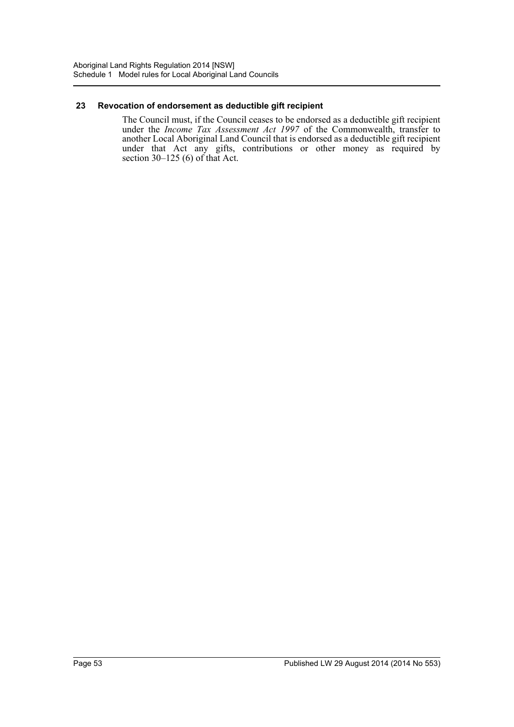#### **23 Revocation of endorsement as deductible gift recipient**

The Council must, if the Council ceases to be endorsed as a deductible gift recipient under the *Income Tax Assessment Act 1997* of the Commonwealth, transfer to another Local Aboriginal Land Council that is endorsed as a deductible gift recipient under that Act any gifts, contributions or other money as required by section  $30-125$  (6) of that Act.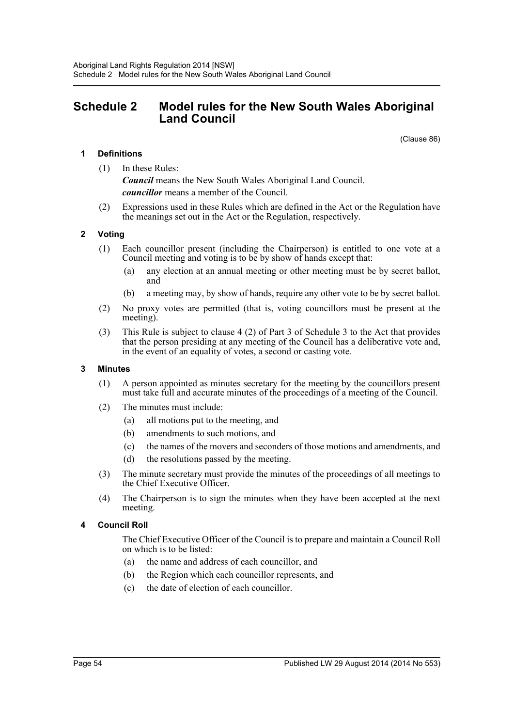# <span id="page-53-0"></span>**Schedule 2 Model rules for the New South Wales Aboriginal Land Council**

(Clause 86)

# **1 Definitions**

- (1) In these Rules: *Council* means the New South Wales Aboriginal Land Council. *councillor* means a member of the Council.
- (2) Expressions used in these Rules which are defined in the Act or the Regulation have the meanings set out in the Act or the Regulation, respectively.

#### **2 Voting**

- (1) Each councillor present (including the Chairperson) is entitled to one vote at a Council meeting and voting is to be by show of hands except that:
	- (a) any election at an annual meeting or other meeting must be by secret ballot, and
	- (b) a meeting may, by show of hands, require any other vote to be by secret ballot.
- (2) No proxy votes are permitted (that is, voting councillors must be present at the meeting).
- (3) This Rule is subject to clause 4 (2) of Part 3 of Schedule 3 to the Act that provides that the person presiding at any meeting of the Council has a deliberative vote and, in the event of an equality of votes, a second or casting vote.

#### **3 Minutes**

- (1) A person appointed as minutes secretary for the meeting by the councillors present must take full and accurate minutes of the proceedings of a meeting of the Council.
- (2) The minutes must include:
	- (a) all motions put to the meeting, and
	- (b) amendments to such motions, and
	- (c) the names of the movers and seconders of those motions and amendments, and
	- (d) the resolutions passed by the meeting.
- (3) The minute secretary must provide the minutes of the proceedings of all meetings to the Chief Executive Officer.
- (4) The Chairperson is to sign the minutes when they have been accepted at the next meeting.

#### **4 Council Roll**

The Chief Executive Officer of the Council is to prepare and maintain a Council Roll on which is to be listed:

- (a) the name and address of each councillor, and
- (b) the Region which each councillor represents, and
- (c) the date of election of each councillor.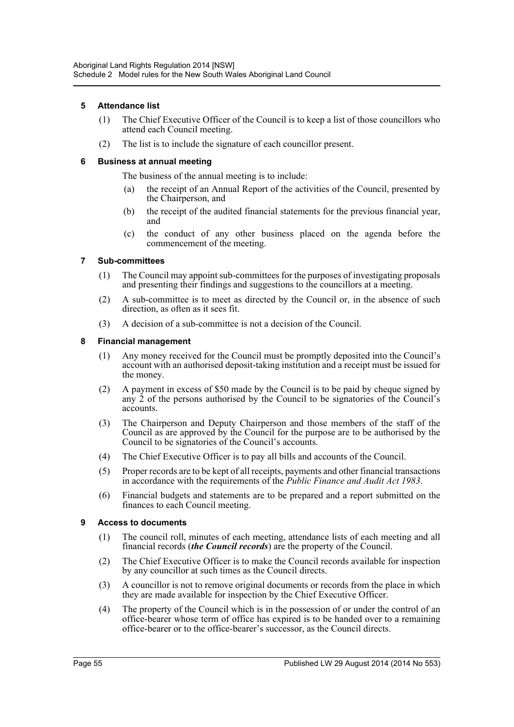# **5 Attendance list**

- (1) The Chief Executive Officer of the Council is to keep a list of those councillors who attend each Council meeting.
- (2) The list is to include the signature of each councillor present.

# **6 Business at annual meeting**

The business of the annual meeting is to include:

- (a) the receipt of an Annual Report of the activities of the Council, presented by the Chairperson, and
- (b) the receipt of the audited financial statements for the previous financial year, and
- (c) the conduct of any other business placed on the agenda before the commencement of the meeting.

# **7 Sub-committees**

- (1) The Council may appoint sub-committees for the purposes of investigating proposals and presenting their findings and suggestions to the councillors at a meeting.
- (2) A sub-committee is to meet as directed by the Council or, in the absence of such direction, as often as it sees fit.
- (3) A decision of a sub-committee is not a decision of the Council.

# **8 Financial management**

- (1) Any money received for the Council must be promptly deposited into the Council's account with an authorised deposit-taking institution and a receipt must be issued for the money.
- (2) A payment in excess of \$50 made by the Council is to be paid by cheque signed by any  $\dot{2}$  of the persons authorised by the Council to be signatories of the Council's accounts.
- (3) The Chairperson and Deputy Chairperson and those members of the staff of the Council as are approved by the Council for the purpose are to be authorised by the Council to be signatories of the Council's accounts.
- (4) The Chief Executive Officer is to pay all bills and accounts of the Council.
- (5) Proper records are to be kept of all receipts, payments and other financial transactions in accordance with the requirements of the *Public Finance and Audit Act 1983*.
- (6) Financial budgets and statements are to be prepared and a report submitted on the finances to each Council meeting.

# **9 Access to documents**

- (1) The council roll, minutes of each meeting, attendance lists of each meeting and all financial records (*the Council records*) are the property of the Council.
- (2) The Chief Executive Officer is to make the Council records available for inspection by any councillor at such times as the Council directs.
- (3) A councillor is not to remove original documents or records from the place in which they are made available for inspection by the Chief Executive Officer.
- (4) The property of the Council which is in the possession of or under the control of an office-bearer whose term of office has expired is to be handed over to a remaining office-bearer or to the office-bearer's successor, as the Council directs.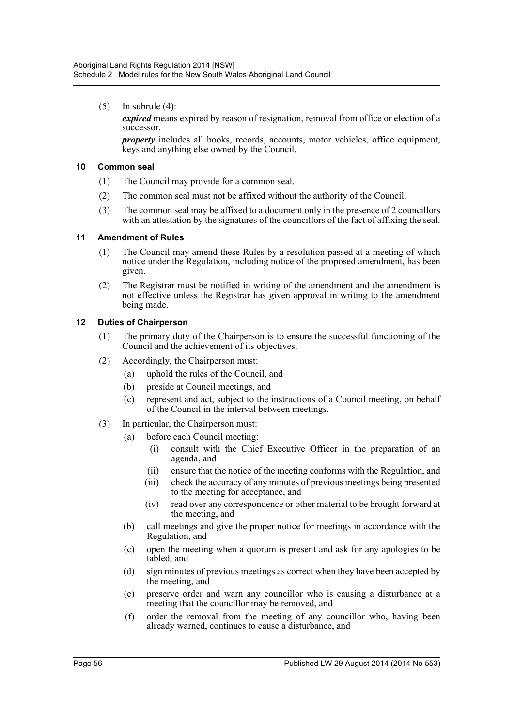$(5)$  In subrule  $(4)$ :

*expired* means expired by reason of resignation, removal from office or election of a successor.

*property* includes all books, records, accounts, motor vehicles, office equipment, keys and anything else owned by the Council.

#### **10 Common seal**

- (1) The Council may provide for a common seal.
- (2) The common seal must not be affixed without the authority of the Council.
- (3) The common seal may be affixed to a document only in the presence of 2 councillors with an attestation by the signatures of the councillors of the fact of affixing the seal.

# **11 Amendment of Rules**

- (1) The Council may amend these Rules by a resolution passed at a meeting of which notice under the Regulation, including notice of the proposed amendment, has been given.
- (2) The Registrar must be notified in writing of the amendment and the amendment is not effective unless the Registrar has given approval in writing to the amendment being made.

# **12 Duties of Chairperson**

- (1) The primary duty of the Chairperson is to ensure the successful functioning of the Council and the achievement of its objectives.
- (2) Accordingly, the Chairperson must:
	- (a) uphold the rules of the Council, and
	- (b) preside at Council meetings, and
	- (c) represent and act, subject to the instructions of a Council meeting, on behalf of the Council in the interval between meetings.
- (3) In particular, the Chairperson must:
	- (a) before each Council meeting:
		- (i) consult with the Chief Executive Officer in the preparation of an agenda, and
		- (ii) ensure that the notice of the meeting conforms with the Regulation, and
		- (iii) check the accuracy of any minutes of previous meetings being presented to the meeting for acceptance, and
		- (iv) read over any correspondence or other material to be brought forward at the meeting, and
	- (b) call meetings and give the proper notice for meetings in accordance with the Regulation, and
	- (c) open the meeting when a quorum is present and ask for any apologies to be tabled, and
	- (d) sign minutes of previous meetings as correct when they have been accepted by the meeting, and
	- (e) preserve order and warn any councillor who is causing a disturbance at a meeting that the councillor may be removed, and
	- (f) order the removal from the meeting of any councillor who, having been already warned, continues to cause a disturbance, and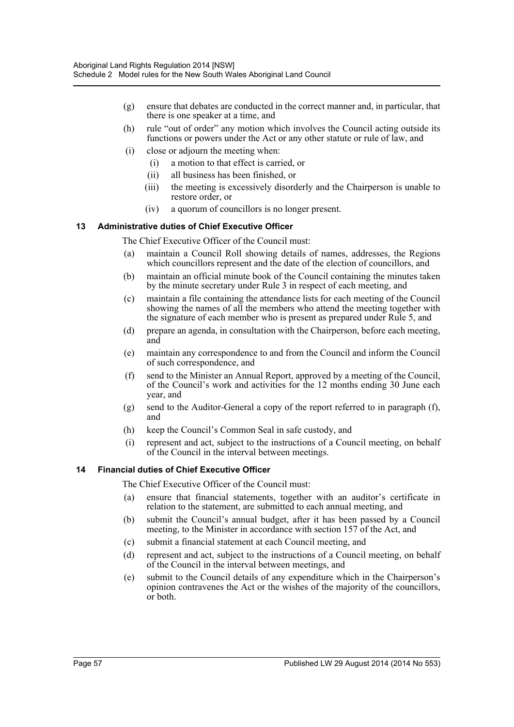- (g) ensure that debates are conducted in the correct manner and, in particular, that there is one speaker at a time, and
- (h) rule "out of order" any motion which involves the Council acting outside its functions or powers under the Act or any other statute or rule of law, and
- (i) close or adjourn the meeting when:
	- (i) a motion to that effect is carried, or
	- (ii) all business has been finished, or
	- (iii) the meeting is excessively disorderly and the Chairperson is unable to restore order, or
	- (iv) a quorum of councillors is no longer present.

#### **13 Administrative duties of Chief Executive Officer**

The Chief Executive Officer of the Council must:

- (a) maintain a Council Roll showing details of names, addresses, the Regions which councillors represent and the date of the election of councillors, and
- (b) maintain an official minute book of the Council containing the minutes taken by the minute secretary under Rule 3 in respect of each meeting, and
- (c) maintain a file containing the attendance lists for each meeting of the Council showing the names of all the members who attend the meeting together with the signature of each member who is present as prepared under Rule 5, and
- (d) prepare an agenda, in consultation with the Chairperson, before each meeting, and
- (e) maintain any correspondence to and from the Council and inform the Council of such correspondence, and
- (f) send to the Minister an Annual Report, approved by a meeting of the Council, of the Council's work and activities for the 12 months ending 30 June each year, and
- (g) send to the Auditor-General a copy of the report referred to in paragraph (f), and
- (h) keep the Council's Common Seal in safe custody, and
- (i) represent and act, subject to the instructions of a Council meeting, on behalf of the Council in the interval between meetings.

#### **14 Financial duties of Chief Executive Officer**

The Chief Executive Officer of the Council must:

- (a) ensure that financial statements, together with an auditor's certificate in relation to the statement, are submitted to each annual meeting, and
- (b) submit the Council's annual budget, after it has been passed by a Council meeting, to the Minister in accordance with section 157 of the Act, and
- (c) submit a financial statement at each Council meeting, and
- (d) represent and act, subject to the instructions of a Council meeting, on behalf of the Council in the interval between meetings, and
- (e) submit to the Council details of any expenditure which in the Chairperson's opinion contravenes the Act or the wishes of the majority of the councillors, or both.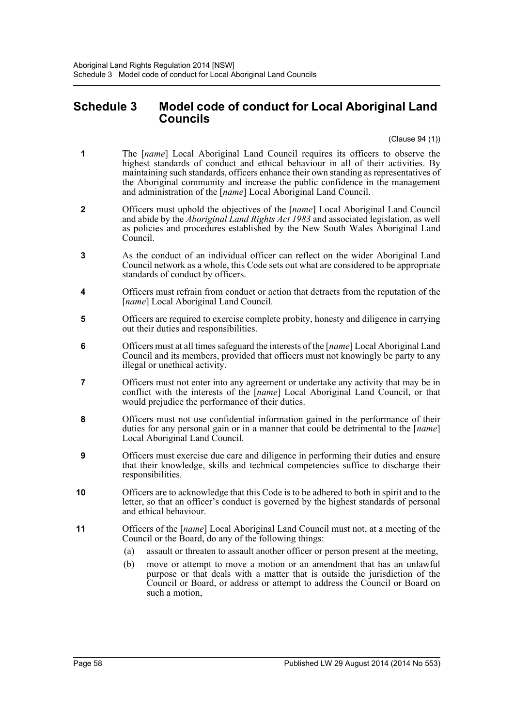# <span id="page-57-0"></span>**Schedule 3 Model code of conduct for Local Aboriginal Land Councils**

(Clause 94 (1))

- **1** The [*name*] Local Aboriginal Land Council requires its officers to observe the highest standards of conduct and ethical behaviour in all of their activities. By maintaining such standards, officers enhance their own standing as representatives of the Aboriginal community and increase the public confidence in the management and administration of the [*name*] Local Aboriginal Land Council.
- **2** Officers must uphold the objectives of the [*name*] Local Aboriginal Land Council and abide by the *Aboriginal Land Rights Act 1983* and associated legislation, as well as policies and procedures established by the New South Wales Aboriginal Land Council.
- **3** As the conduct of an individual officer can reflect on the wider Aboriginal Land Council network as a whole, this Code sets out what are considered to be appropriate standards of conduct by officers.
- **4** Officers must refrain from conduct or action that detracts from the reputation of the [ $name$ <sup>]</sup> Local Aboriginal Land Council.
- **5** Officers are required to exercise complete probity, honesty and diligence in carrying out their duties and responsibilities.
- **6** Officers must at all times safeguard the interests of the [*name*] Local Aboriginal Land Council and its members, provided that officers must not knowingly be party to any illegal or unethical activity.
- **7** Officers must not enter into any agreement or undertake any activity that may be in conflict with the interests of the [*name*] Local Aboriginal Land Council, or that would prejudice the performance of their duties.
- **8** Officers must not use confidential information gained in the performance of their duties for any personal gain or in a manner that could be detrimental to the [*name*] Local Aboriginal Land Council.
- **9** Officers must exercise due care and diligence in performing their duties and ensure that their knowledge, skills and technical competencies suffice to discharge their responsibilities.
- **10** Officers are to acknowledge that this Code is to be adhered to both in spirit and to the letter, so that an officer's conduct is governed by the highest standards of personal and ethical behaviour.
- **11** Officers of the [*name*] Local Aboriginal Land Council must not, at a meeting of the Council or the Board, do any of the following things:
	- (a) assault or threaten to assault another officer or person present at the meeting,
	- (b) move or attempt to move a motion or an amendment that has an unlawful purpose or that deals with a matter that is outside the jurisdiction of the Council or Board, or address or attempt to address the Council or Board on such a motion,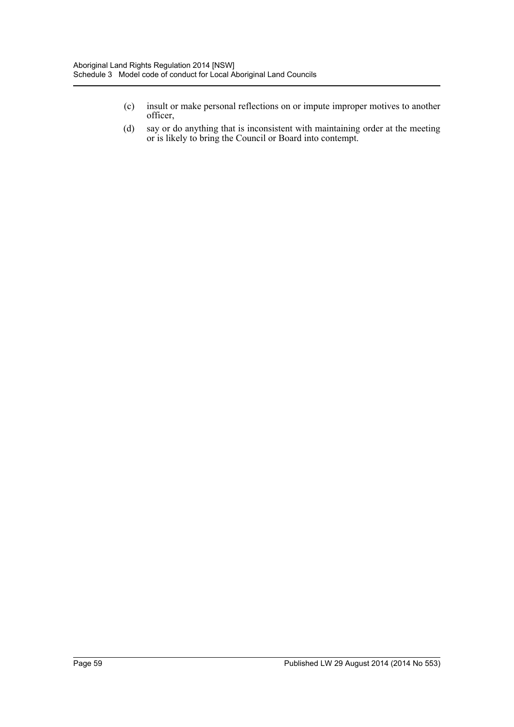- (c) insult or make personal reflections on or impute improper motives to another officer,
- (d) say or do anything that is inconsistent with maintaining order at the meeting or is likely to bring the Council or Board into contempt.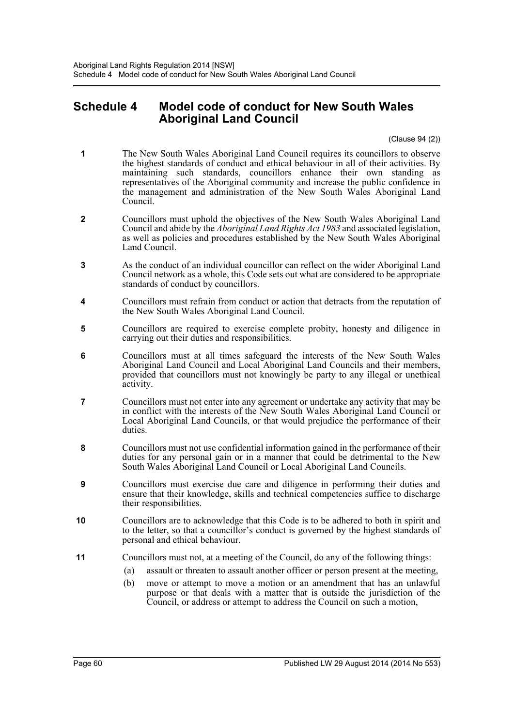# <span id="page-59-0"></span>**Schedule 4 Model code of conduct for New South Wales Aboriginal Land Council**

(Clause 94 (2))

- **1** The New South Wales Aboriginal Land Council requires its councillors to observe the highest standards of conduct and ethical behaviour in all of their activities. By maintaining such standards, councillors enhance their own standing as representatives of the Aboriginal community and increase the public confidence in the management and administration of the New South Wales Aboriginal Land Council.
- **2** Councillors must uphold the objectives of the New South Wales Aboriginal Land Council and abide by the *Aboriginal Land Rights Act 1983* and associated legislation, as well as policies and procedures established by the New South Wales Aboriginal Land Council.
- **3** As the conduct of an individual councillor can reflect on the wider Aboriginal Land Council network as a whole, this Code sets out what are considered to be appropriate standards of conduct by councillors.
- **4** Councillors must refrain from conduct or action that detracts from the reputation of the New South Wales Aboriginal Land Council.
- **5** Councillors are required to exercise complete probity, honesty and diligence in carrying out their duties and responsibilities.
- **6** Councillors must at all times safeguard the interests of the New South Wales Aboriginal Land Council and Local Aboriginal Land Councils and their members, provided that councillors must not knowingly be party to any illegal or unethical activity.
- **7** Councillors must not enter into any agreement or undertake any activity that may be in conflict with the interests of the New South Wales Aboriginal Land Council or Local Aboriginal Land Councils, or that would prejudice the performance of their duties.
- **8** Councillors must not use confidential information gained in the performance of their duties for any personal gain or in a manner that could be detrimental to the New South Wales Aboriginal Land Council or Local Aboriginal Land Councils.
- **9** Councillors must exercise due care and diligence in performing their duties and ensure that their knowledge, skills and technical competencies suffice to discharge their responsibilities.
- **10** Councillors are to acknowledge that this Code is to be adhered to both in spirit and to the letter, so that a councillor's conduct is governed by the highest standards of personal and ethical behaviour.
- **11** Councillors must not, at a meeting of the Council, do any of the following things:
	- (a) assault or threaten to assault another officer or person present at the meeting,
	- (b) move or attempt to move a motion or an amendment that has an unlawful purpose or that deals with a matter that is outside the jurisdiction of the Council, or address or attempt to address the Council on such a motion,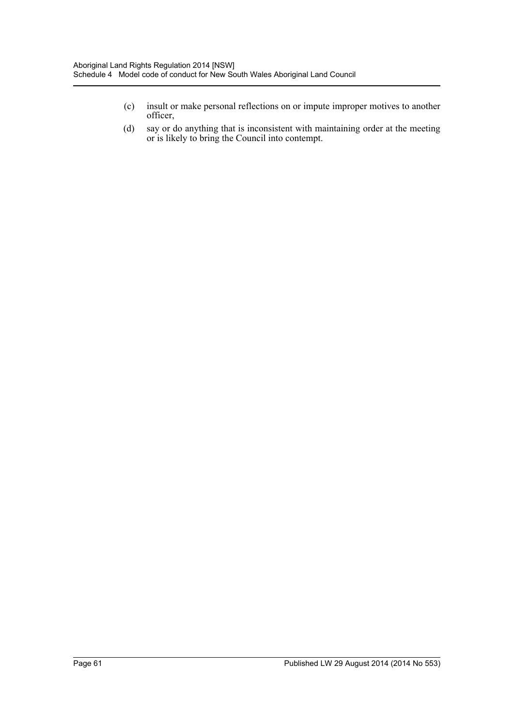- (c) insult or make personal reflections on or impute improper motives to another officer,
- (d) say or do anything that is inconsistent with maintaining order at the meeting or is likely to bring the Council into contempt.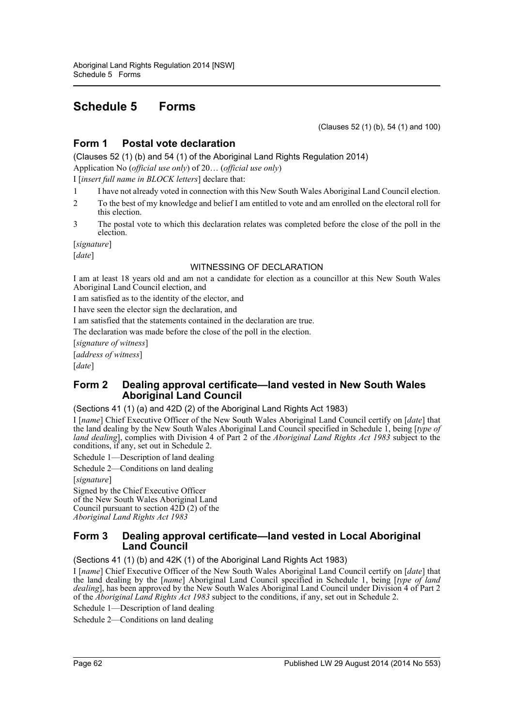# <span id="page-61-0"></span>**Schedule 5 Forms**

(Clauses 52 (1) (b), 54 (1) and 100)

# **Form 1 Postal vote declaration**

(Clauses 52 (1) (b) and 54 (1) of the Aboriginal Land Rights Regulation 2014)

Application No (*official use only*) of 20… (*official use only*) I [*insert full name in BLOCK letters*] declare that:

- 1 I have not already voted in connection with this New South Wales Aboriginal Land Council election.
- 2 To the best of my knowledge and belief I am entitled to vote and am enrolled on the electoral roll for this election.
- 3 The postal vote to which this declaration relates was completed before the close of the poll in the election.

[*signature*]

[*date*]

#### WITNESSING OF DECLARATION

I am at least 18 years old and am not a candidate for election as a councillor at this New South Wales Aboriginal Land Council election, and

I am satisfied as to the identity of the elector, and

I have seen the elector sign the declaration, and

I am satisfied that the statements contained in the declaration are true.

The declaration was made before the close of the poll in the election.

[*signature of witness*]

[*address of witness*]

[*date*]

# **Form 2 Dealing approval certificate—land vested in New South Wales Aboriginal Land Council**

#### (Sections 41 (1) (a) and 42D (2) of the Aboriginal Land Rights Act 1983)

I [*name*] Chief Executive Officer of the New South Wales Aboriginal Land Council certify on [*date*] that the land dealing by the New South Wales Aboriginal Land Council specified in Schedule 1, being [*type of land dealing*], complies with Division 4 of Part 2 of the *Aboriginal Land Rights Act 1983* subject to the conditions, if any, set out in Schedule 2.

Schedule 1—Description of land dealing

Schedule 2—Conditions on land dealing

[*signature*]

Signed by the Chief Executive Officer of the New South Wales Aboriginal Land Council pursuant to section 42D (2) of the *Aboriginal Land Rights Act 1983*

# **Form 3 Dealing approval certificate—land vested in Local Aboriginal Land Council**

(Sections 41 (1) (b) and 42K (1) of the Aboriginal Land Rights Act 1983)

I [*name*] Chief Executive Officer of the New South Wales Aboriginal Land Council certify on [*date*] that the land dealing by the [*name*] Aboriginal Land Council specified in Schedule 1, being [*type of land dealing*], has been approved by the New South Wales Aboriginal Land Council under Division 4 of Part 2 of the *Aboriginal Land Rights Act 1983* subject to the conditions, if any, set out in Schedule 2.

Schedule 1—Description of land dealing

Schedule 2—Conditions on land dealing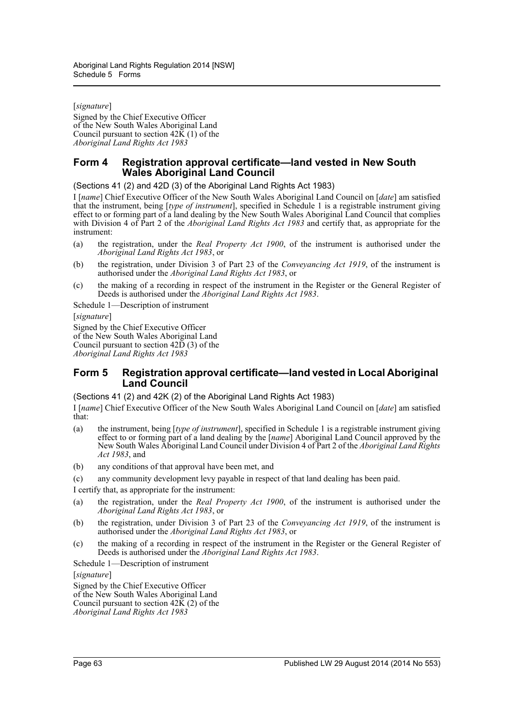[*signature*] Signed by the Chief Executive Officer of the New South Wales Aboriginal Land Council pursuant to section 42K (1) of the *Aboriginal Land Rights Act 1983*

# **Form 4 Registration approval certificate—land vested in New South Wales Aboriginal Land Council**

(Sections 41 (2) and 42D (3) of the Aboriginal Land Rights Act 1983)

I [*name*] Chief Executive Officer of the New South Wales Aboriginal Land Council on [*date*] am satisfied that the instrument, being [*type of instrument*], specified in Schedule 1 is a registrable instrument giving effect to or forming part of a land dealing by the New South Wales Aboriginal Land Council that complies with Division 4 of Part 2 of the *Aboriginal Land Rights Act 1983* and certify that, as appropriate for the instrument:

- (a) the registration, under the *Real Property Act 1900*, of the instrument is authorised under the *Aboriginal Land Rights Act 1983*, or
- (b) the registration, under Division 3 of Part 23 of the *Conveyancing Act 1919*, of the instrument is authorised under the *Aboriginal Land Rights Act 1983*, or
- (c) the making of a recording in respect of the instrument in the Register or the General Register of Deeds is authorised under the *Aboriginal Land Rights Act 1983*.

Schedule 1—Description of instrument

[*signature*]

Signed by the Chief Executive Officer of the New South Wales Aboriginal Land Council pursuant to section  $42\overline{D}$  (3) of the *Aboriginal Land Rights Act 1983*

# **Form 5 Registration approval certificate—land vested in Local Aboriginal Land Council**

(Sections 41 (2) and 42K (2) of the Aboriginal Land Rights Act 1983)

I [*name*] Chief Executive Officer of the New South Wales Aboriginal Land Council on [*date*] am satisfied that:

- (a) the instrument, being [*type of instrument*], specified in Schedule 1 is a registrable instrument giving effect to or forming part of a land dealing by the [*name*] Aboriginal Land Council approved by the New South Wales Aboriginal Land Council under Division 4 of Part 2 of the *Aboriginal Land Rights Act 1983*, and
- (b) any conditions of that approval have been met, and
- (c) any community development levy payable in respect of that land dealing has been paid.

I certify that, as appropriate for the instrument:

- (a) the registration, under the *Real Property Act 1900*, of the instrument is authorised under the *Aboriginal Land Rights Act 1983*, or
- (b) the registration, under Division 3 of Part 23 of the *Conveyancing Act 1919*, of the instrument is authorised under the *Aboriginal Land Rights Act 1983*, or
- (c) the making of a recording in respect of the instrument in the Register or the General Register of Deeds is authorised under the *Aboriginal Land Rights Act 1983*.

Schedule 1—Description of instrument

[*signature*]

Signed by the Chief Executive Officer of the New South Wales Aboriginal Land Council pursuant to section  $42\overline{K}(2)$  of the *Aboriginal Land Rights Act 1983*